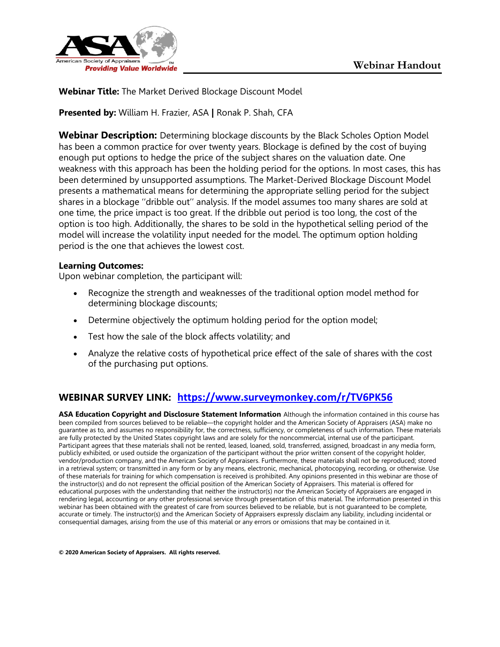

**Webinar Title:** The Market Derived Blockage Discount Model

**Presented by:** William H. Frazier, ASA **|** Ronak P. Shah, CFA

**Webinar Description:** Determining blockage discounts by the Black Scholes Option Model has been a common practice for over twenty years. Blockage is defined by the cost of buying enough put options to hedge the price of the subject shares on the valuation date. One weakness with this approach has been the holding period for the options. In most cases, this has been determined by unsupported assumptions. The Market-Derived Blockage Discount Model presents a mathematical means for determining the appropriate selling period for the subject shares in a blockage ''dribble out'' analysis. If the model assumes too many shares are sold at one time, the price impact is too great. If the dribble out period is too long, the cost of the option is too high. Additionally, the shares to be sold in the hypothetical selling period of the model will increase the volatility input needed for the model. The optimum option holding period is the one that achieves the lowest cost.

#### **Learning Outcomes:**

Upon webinar completion, the participant will:

- Recognize the strength and weaknesses of the traditional option model method for determining blockage discounts;
- Determine objectively the optimum holding period for the option model;
- Test how the sale of the block affects volatility; and
- Analyze the relative costs of hypothetical price effect of the sale of shares with the cost of the purchasing put options.

#### **WEBINAR SURVEY LINK: https://www.surveymonkey.com/r/TV6PK56**

**ASA Education Copyright and Disclosure Statement Information** Although the information contained in this course has been compiled from sources believed to be reliable—the copyright holder and the American Society of Appraisers (ASA) make no guarantee as to, and assumes no responsibility for, the correctness, sufficiency, or completeness of such information. These materials are fully protected by the United States copyright laws and are solely for the noncommercial, internal use of the participant. Participant agrees that these materials shall not be rented, leased, loaned, sold, transferred, assigned, broadcast in any media form, publicly exhibited, or used outside the organization of the participant without the prior written consent of the copyright holder, vendor/production company, and the American Society of Appraisers. Furthermore, these materials shall not be reproduced; stored in a retrieval system; or transmitted in any form or by any means, electronic, mechanical, photocopying, recording, or otherwise. Use of these materials for training for which compensation is received is prohibited. Any opinions presented in this webinar are those of the instructor(s) and do not represent the official position of the American Society of Appraisers. This material is offered for educational purposes with the understanding that neither the instructor(s) nor the American Society of Appraisers are engaged in rendering legal, accounting or any other professional service through presentation of this material. The information presented in this webinar has been obtained with the greatest of care from sources believed to be reliable, but is not guaranteed to be complete, accurate or timely. The instructor(s) and the American Society of Appraisers expressly disclaim any liability, including incidental or consequential damages, arising from the use of this material or any errors or omissions that may be contained in it.

**© 2020 American Society of Appraisers. All rights reserved.**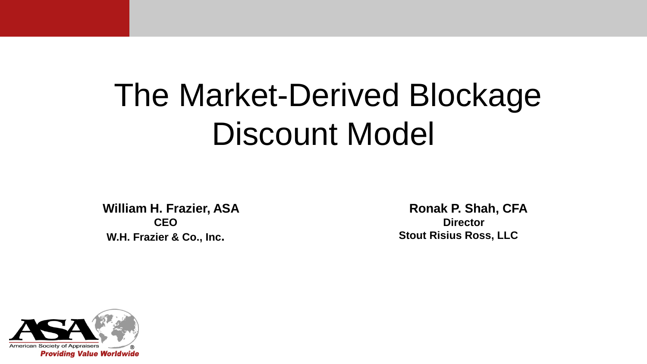**William H. Frazier, ASA CEO W.H. Frazier & Co., Inc.**

**Ronak P. Shah, CFA Director Stout Risius Ross, LLC**

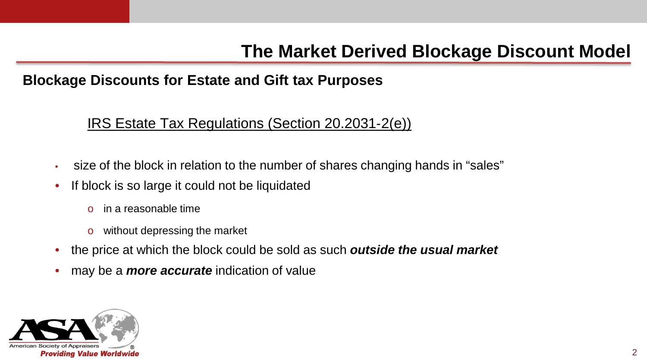#### **Blockage Discounts for Estate and Gift tax Purposes**

#### IRS Estate Tax Regulations (Section 20.2031‐2(e))

- size of the block in relation to the number of shares changing hands in "sales"
- If block is so large it could not be liquidated
	- o in a reasonable time
	- o without depressing the market
- the price at which the block could be sold as such *outside the usual market*
- may be a *more accurate* indication of value

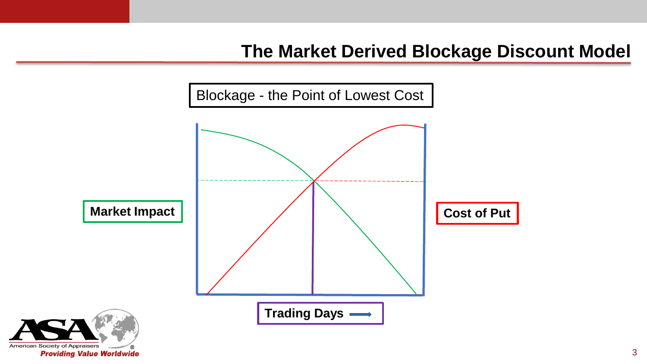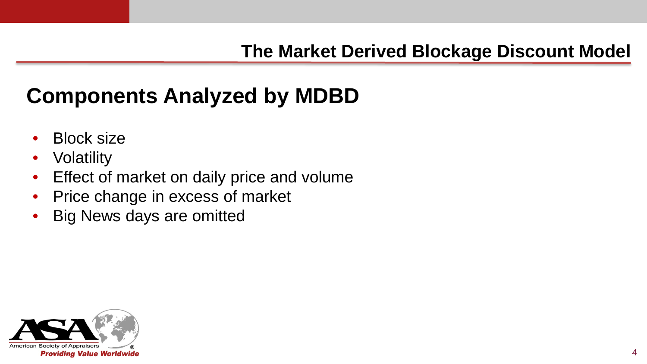# **Components Analyzed by MDBD**

- Block size
- **Volatility**
- Effect of market on daily price and volume
- Price change in excess of market
- Big News days are omitted

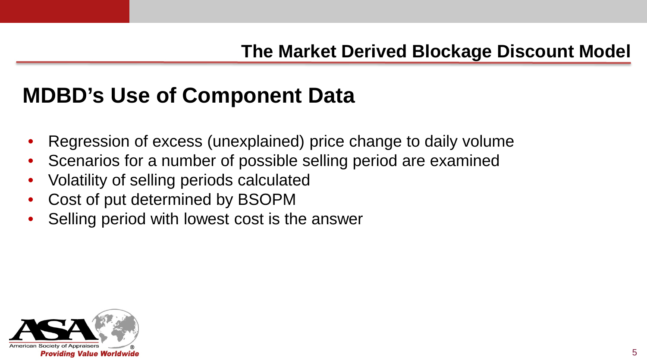# **MDBD's Use of Component Data**

- Regression of excess (unexplained) price change to daily volume
- Scenarios for a number of possible selling period are examined
- Volatility of selling periods calculated
- Cost of put determined by BSOPM
- Selling period with lowest cost is the answer

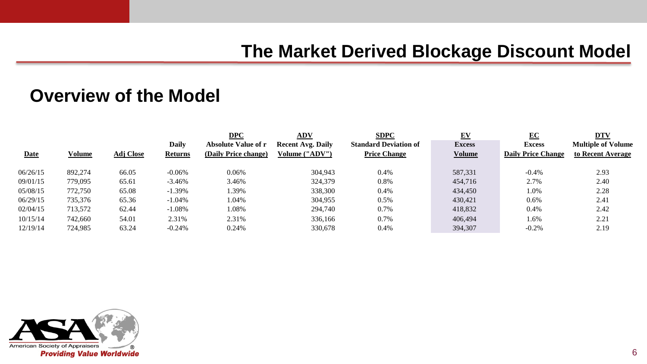|             |         |                  |                | DPC                        | ADV                      | <b>SDPC</b>                  | $E$ V         | EC                        | <b>DTV</b>                |
|-------------|---------|------------------|----------------|----------------------------|--------------------------|------------------------------|---------------|---------------------------|---------------------------|
|             |         |                  | Daily          | <b>Absolute Value of r</b> | <b>Recent Avg. Daily</b> | <b>Standard Deviation of</b> | <b>Excess</b> | <b>Excess</b>             | <b>Multiple of Volume</b> |
| <b>Date</b> | Volume  | <b>Adj Close</b> | <b>Returns</b> | (Daily Price change)       | Volume ("ADV")           | <b>Price Change</b>          | <b>Volume</b> | <b>Daily Price Change</b> | to Recent Average         |
|             |         |                  |                |                            |                          |                              |               |                           |                           |
| 06/26/15    | 892,274 | 66.05            | $-0.06%$       | 0.06%                      | 304,943                  | 0.4%                         | 587,331       | $-0.4%$                   | 2.93                      |
| 09/01/15    | 779,095 | 65.61            | $-3.46%$       | 3.46%                      | 324,379                  | 0.8%                         | 454,716       | 2.7%                      | 2.40                      |
| 05/08/15    | 772,750 | 65.08            | $-1.39\%$      | .39%                       | 338,300                  | 0.4%                         | 434,450       | 1.0%                      | 2.28                      |
| 06/29/15    | 735,376 | 65.36            | $-1.04%$       | 1.04%                      | 304.955                  | 0.5%                         | 430.421       | 0.6%                      | 2.41                      |
| 02/04/15    | 713.572 | 62.44            | $-1.08%$       | 1.08%                      | 294,740                  | 0.7%                         | 418,832       | 0.4%                      | 2.42                      |
| 10/15/14    | 742,660 | 54.01            | 2.31%          | 2.31%                      | 336,166                  | 0.7%                         | 406,494       | 1.6%                      | 2.21                      |
| 12/19/14    | 724.985 | 63.24            | $-0.24%$       | 0.24%                      | 330,678                  | 0.4%                         | 394,307       | $-0.2%$                   | 2.19                      |

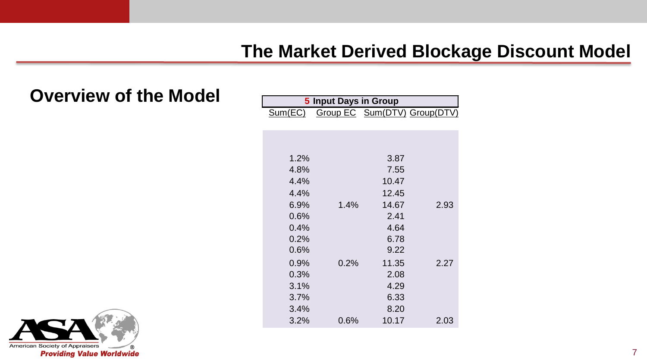| 5 Input Days in Group |      |       |                              |  |  |  |
|-----------------------|------|-------|------------------------------|--|--|--|
| Sum(EC)               |      |       | Group EC Sum(DTV) Group(DTV) |  |  |  |
|                       |      |       |                              |  |  |  |
|                       |      |       |                              |  |  |  |
|                       |      |       |                              |  |  |  |
| 1.2%                  |      | 3.87  |                              |  |  |  |
| 4.8%                  |      | 7.55  |                              |  |  |  |
| 4.4%                  |      | 10.47 |                              |  |  |  |
| 4.4%                  |      | 12.45 |                              |  |  |  |
| $6.9\%$               | 1.4% | 14.67 | 2.93                         |  |  |  |
| 0.6%                  |      | 2.41  |                              |  |  |  |
| 0.4%                  |      | 4.64  |                              |  |  |  |
| 0.2%                  |      | 6.78  |                              |  |  |  |
| 0.6%                  |      | 9.22  |                              |  |  |  |
| 0.9%                  | 0.2% | 11.35 | 2.27                         |  |  |  |
| 0.3%                  |      | 2.08  |                              |  |  |  |
| 3.1%                  |      | 4.29  |                              |  |  |  |
| 3.7%                  |      | 6.33  |                              |  |  |  |
| 3.4%                  |      | 8.20  |                              |  |  |  |
| 3.2%                  | 0.6% | 10.17 | 2.03                         |  |  |  |

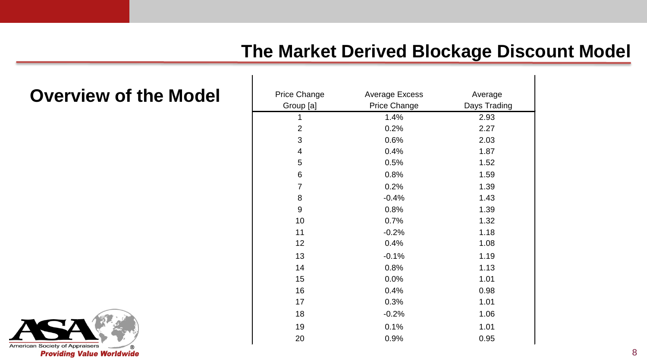| Price Change | Average Excess | Average      |
|--------------|----------------|--------------|
| Group [a]    | Price Change   | Days Trading |
| 1            | 1.4%           | 2.93         |
| 2            | 0.2%           | 2.27         |
| 3            | 0.6%           | 2.03         |
| 4            | 0.4%           | 1.87         |
| 5            | 0.5%           | 1.52         |
| 6            | 0.8%           | 1.59         |
| 7            | 0.2%           | 1.39         |
| 8            | $-0.4%$        | 1.43         |
| 9            | 0.8%           | 1.39         |
| 10           | 0.7%           | 1.32         |
| 11           | $-0.2%$        | 1.18         |
| 12           | 0.4%           | 1.08         |
| 13           | $-0.1%$        | 1.19         |
| 14           | 0.8%           | 1.13         |
| 15           | 0.0%           | 1.01         |
| 16           | 0.4%           | 0.98         |
| 17           | 0.3%           | 1.01         |
| 18           | $-0.2%$        | 1.06         |
| 19           | 0.1%           | 1.01         |
| 20           | 0.9%           | 0.95         |

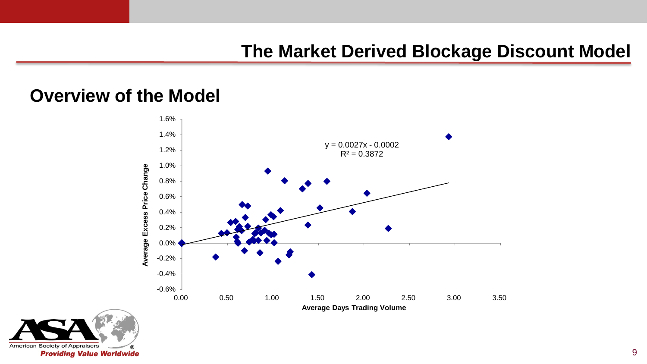

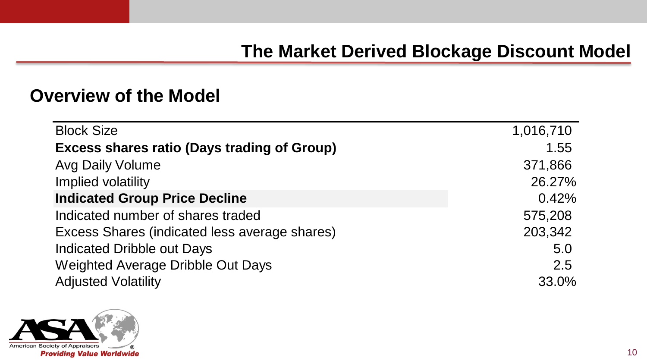| <b>Block Size</b>                                  | 1,016,710 |
|----------------------------------------------------|-----------|
| <b>Excess shares ratio (Days trading of Group)</b> | 1.55      |
| <b>Avg Daily Volume</b>                            | 371,866   |
| Implied volatility                                 | 26.27%    |
| <b>Indicated Group Price Decline</b>               | 0.42%     |
| Indicated number of shares traded                  | 575,208   |
| Excess Shares (indicated less average shares)      | 203,342   |
| Indicated Dribble out Days                         | 5.0       |
| Weighted Average Dribble Out Days                  | 2.5       |
| <b>Adjusted Volatility</b>                         | 33.0%     |

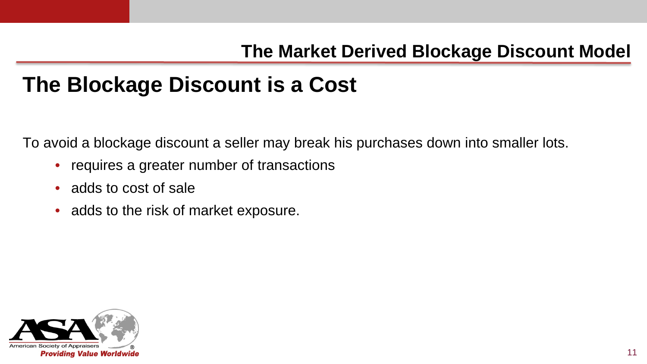## **The Blockage Discount is a Cost**

To avoid a blockage discount a seller may break his purchases down into smaller lots.

- requires a greater number of transactions
- adds to cost of sale
- adds to the risk of market exposure.

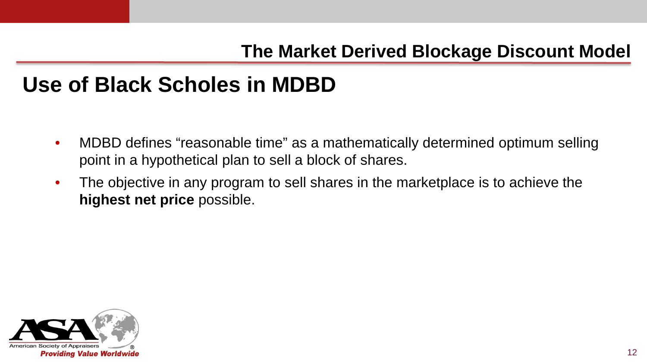## **Use of Black Scholes in MDBD**

- MDBD defines "reasonable time" as a mathematically determined optimum selling point in a hypothetical plan to sell a block of shares.
- The objective in any program to sell shares in the marketplace is to achieve the **highest net price** possible.

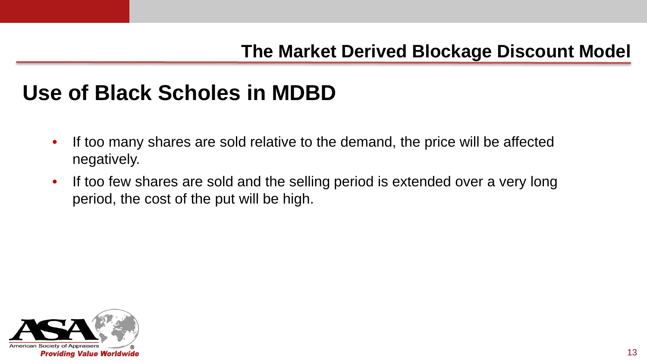## **Use of Black Scholes in MDBD**

- If too many shares are sold relative to the demand, the price will be affected negatively.
- If too few shares are sold and the selling period is extended over a very long period, the cost of the put will be high.

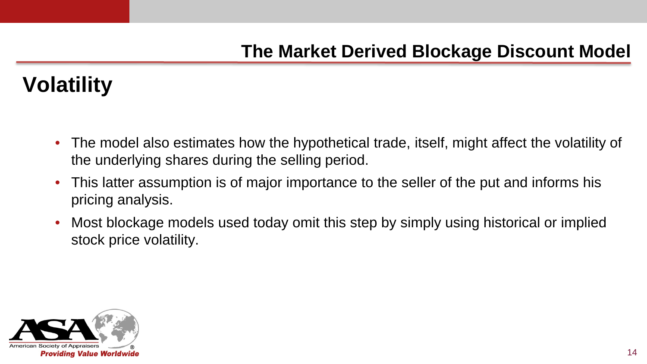# **Volatility**

- The model also estimates how the hypothetical trade, itself, might affect the volatility of the underlying shares during the selling period.
- This latter assumption is of major importance to the seller of the put and informs his pricing analysis.
- Most blockage models used today omit this step by simply using historical or implied stock price volatility.

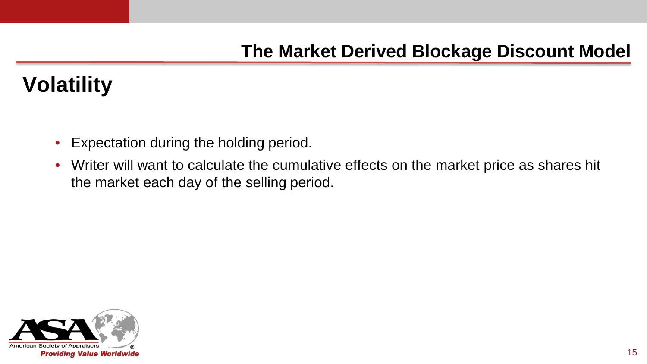# **Volatility**

- Expectation during the holding period.
- Writer will want to calculate the cumulative effects on the market price as shares hit the market each day of the selling period.

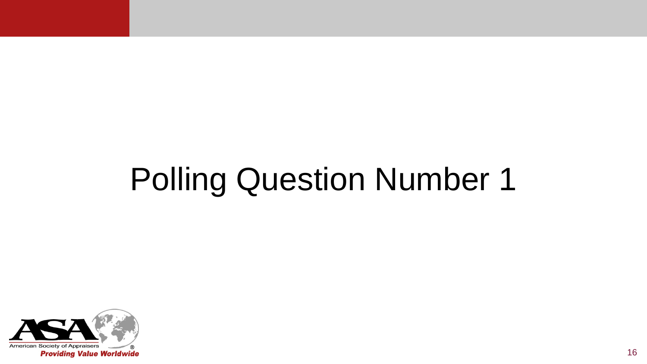# Polling Question Number 1

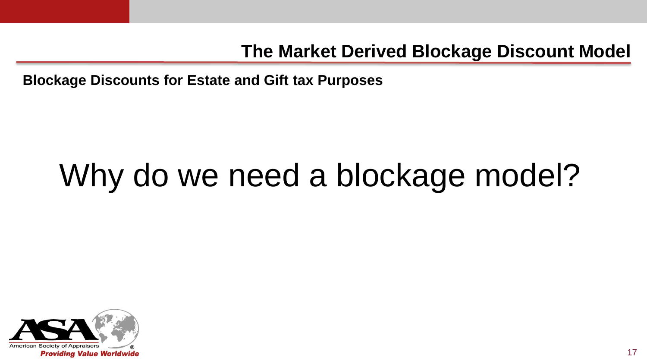**Blockage Discounts for Estate and Gift tax Purposes**

# Why do we need a blockage model?

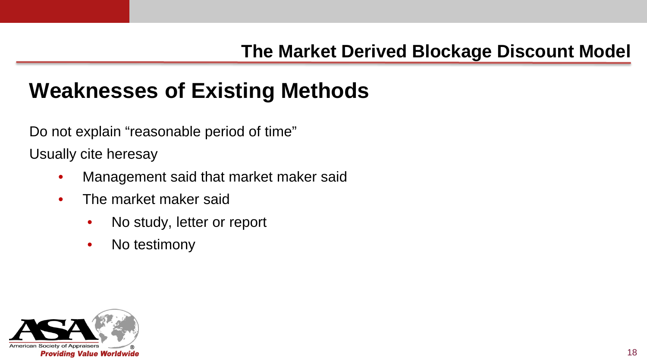# **Weaknesses of Existing Methods**

Do not explain "reasonable period of time"

Usually cite heresay

- Management said that market maker said
- The market maker said
	- No study, letter or report
	- No testimony

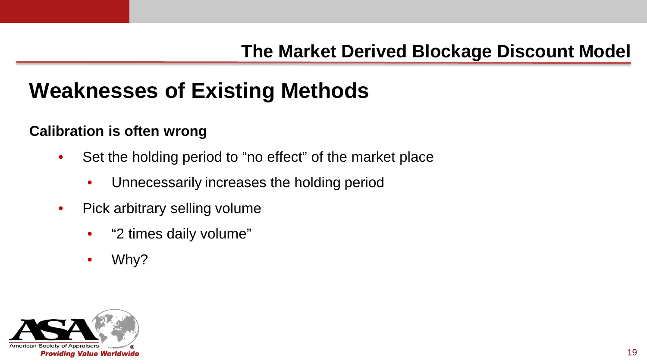# **Weaknesses of Existing Methods**

#### **Calibration is often wrong**

- Set the holding period to "no effect" of the market place
	- Unnecessarily increases the holding period
- Pick arbitrary selling volume
	- "2 times daily volume"
	- Why?

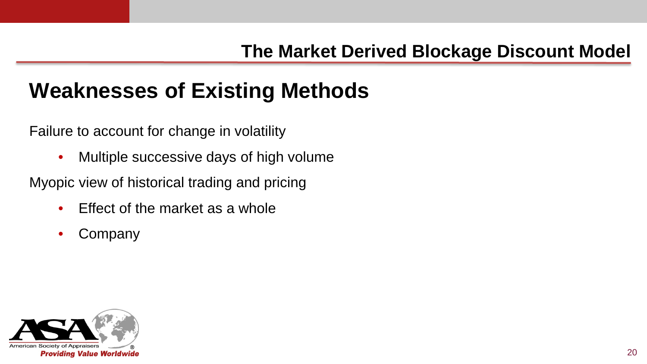# **Weaknesses of Existing Methods**

Failure to account for change in volatility

• Multiple successive days of high volume

Myopic view of historical trading and pricing

- Effect of the market as a whole
- **Company**

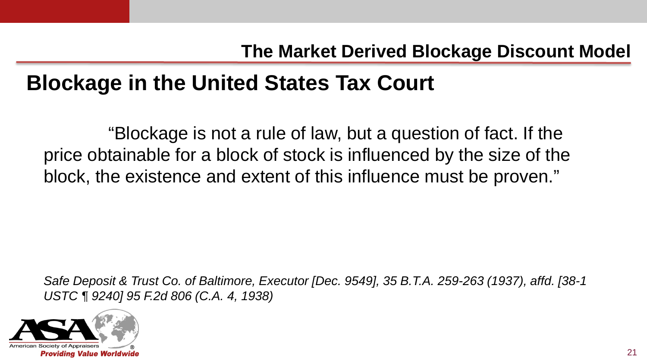## **Blockage in the United States Tax Court**

"Blockage is not a rule of law, but a question of fact. If the price obtainable for a block of stock is influenced by the size of the block, the existence and extent of this influence must be proven."

*Safe Deposit & Trust Co. of Baltimore, Executor [Dec. 9549], 35 B.T.A. 259-263 (1937), affd. [38-1 USTC ¶ 9240] 95 F.2d 806 (C.A. 4, 1938)*

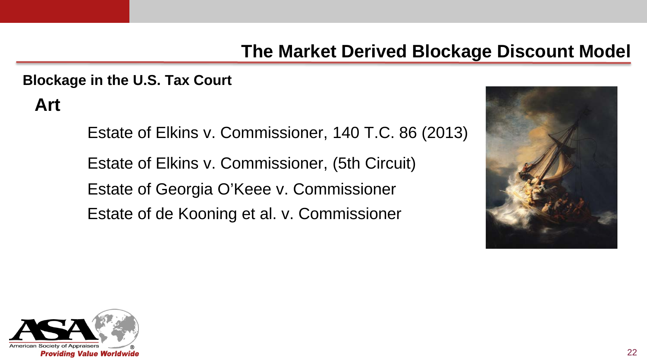### 22

### **The Market Derived Blockage Discount Model**

**Blockage in the U.S. Tax Court**

**Art**

Estate of Elkins v. Commissioner, 140 T.C. 86 (2013) Estate of Elkins v. Commissioner, (5th Circuit) Estate of Georgia O'Keee v. Commissioner Estate of de Kooning et al. v. Commissioner



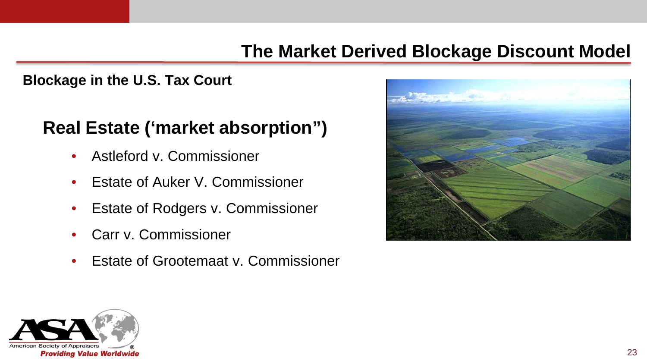#### **Blockage in the U.S. Tax Court**

### **Real Estate ('market absorption")**

- Astleford v. Commissioner
- Estate of Auker V. Commissioner
- Estate of Rodgers v. Commissioner
- Carr v. Commissioner
- Estate of Grootemaat v. Commissioner



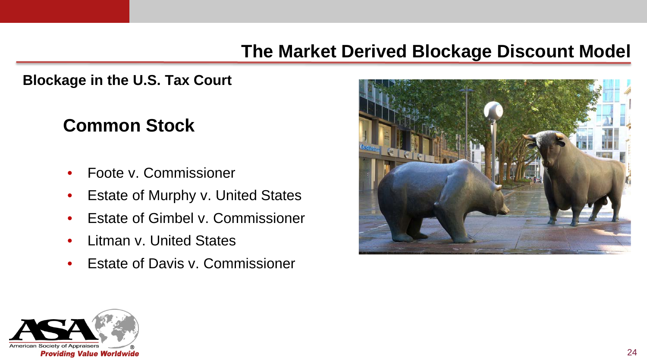**Blockage in the U.S. Tax Court**

### **Common Stock**

- Foote v. Commissioner
- Estate of Murphy v. United States
- Estate of Gimbel v. Commissioner
- Litman v. United States
- **Estate of Davis y. Commissioner**



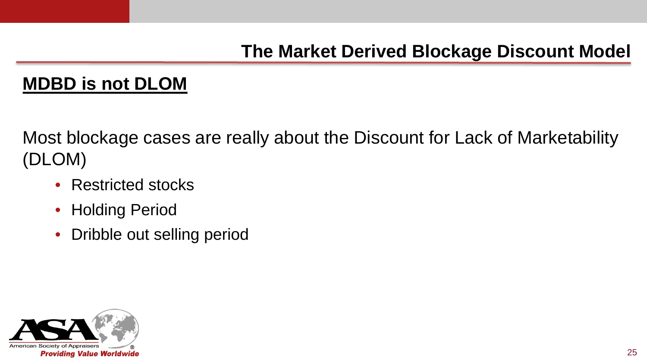### **MDBD is not DLOM**

Most blockage cases are really about the Discount for Lack of Marketability (DLOM)

- Restricted stocks
- Holding Period
- Dribble out selling period

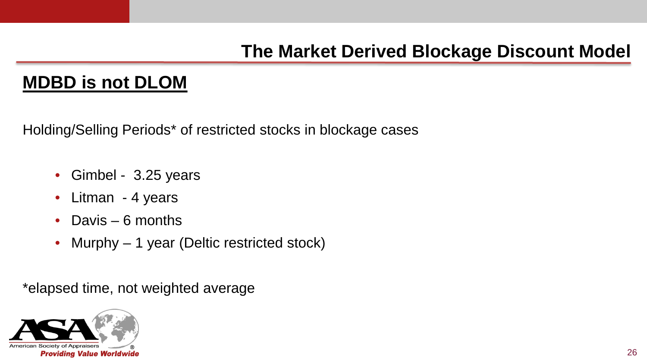### **MDBD is not DLOM**

Holding/Selling Periods\* of restricted stocks in blockage cases

- Gimbel 3.25 years
- Litman 4 years
- Davis 6 months
- Murphy 1 year (Deltic restricted stock)

\*elapsed time, not weighted average

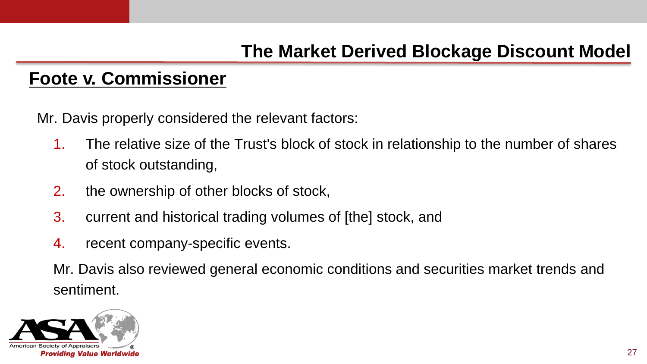### **Foote v. Commissioner**

Mr. Davis properly considered the relevant factors:

- 1. The relative size of the Trust's block of stock in relationship to the number of shares of stock outstanding,
- 2. the ownership of other blocks of stock,
- 3. current and historical trading volumes of [the] stock, and
- 4. recent company-specific events.

Mr. Davis also reviewed general economic conditions and securities market trends and sentiment.

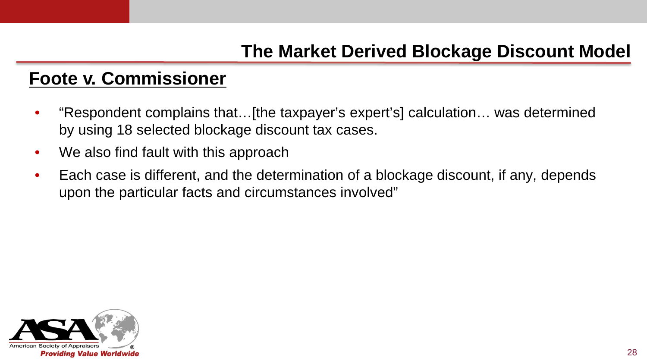### **Foote v. Commissioner**

- "Respondent complains that…[the taxpayer's expert's] calculation… was determined by using 18 selected blockage discount tax cases.
- We also find fault with this approach
- Each case is different, and the determination of a blockage discount, if any, depends upon the particular facts and circumstances involved"

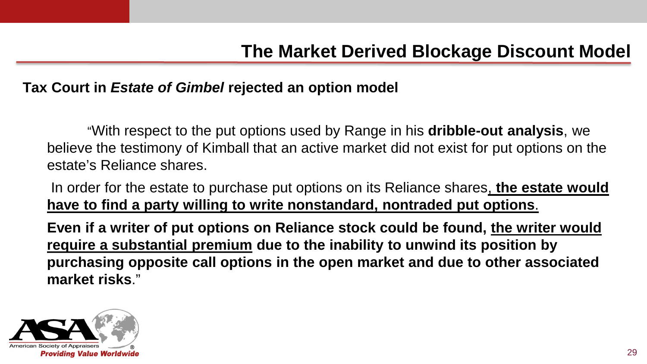#### **Tax Court in** *Estate of Gimbel* **rejected an option model**

"With respect to the put options used by Range in his **dribble-out analysis**, we believe the testimony of Kimball that an active market did not exist for put options on the estate's Reliance shares.

In order for the estate to purchase put options on its Reliance shares, **the estate would have to find a party willing to write nonstandard, nontraded put options**.

**Even if a writer of put options on Reliance stock could be found, the writer would require a substantial premium due to the inability to unwind its position by purchasing opposite call options in the open market and due to other associated market risks**."

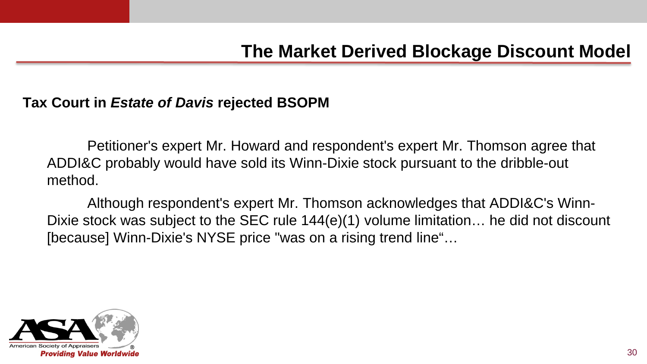#### **Tax Court in** *Estate of Davis* **rejected BSOPM**

Petitioner's expert Mr. Howard and respondent's expert Mr. Thomson agree that ADDI&C probably would have sold its Winn-Dixie stock pursuant to the dribble-out method.

Although respondent's expert Mr. Thomson acknowledges that ADDI&C's Winn-Dixie stock was subject to the SEC rule 144(e)(1) volume limitation… he did not discount [because] Winn-Dixie's NYSE price "was on a rising trend line"…

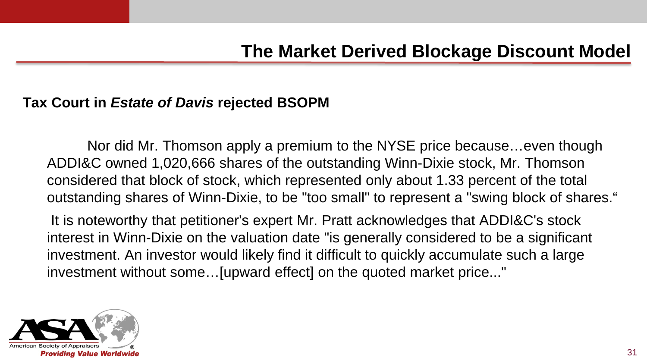#### **Tax Court in** *Estate of Davis* **rejected BSOPM**

Nor did Mr. Thomson apply a premium to the NYSE price because…even though ADDI&C owned 1,020,666 shares of the outstanding Winn-Dixie stock, Mr. Thomson considered that block of stock, which represented only about 1.33 percent of the total outstanding shares of Winn-Dixie, to be "too small" to represent a "swing block of shares."

It is noteworthy that petitioner's expert Mr. Pratt acknowledges that ADDI&C's stock interest in Winn-Dixie on the valuation date "is generally considered to be a significant investment. An investor would likely find it difficult to quickly accumulate such a large investment without some…[upward effect] on the quoted market price..."

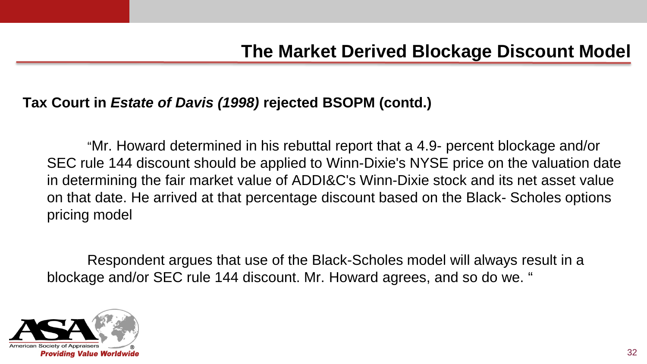#### **Tax Court in** *Estate of Davis (1998)* **rejected BSOPM (contd.)**

"Mr. Howard determined in his rebuttal report that a 4.9- percent blockage and/or SEC rule 144 discount should be applied to Winn-Dixie's NYSE price on the valuation date in determining the fair market value of ADDI&C's Winn-Dixie stock and its net asset value on that date. He arrived at that percentage discount based on the Black- Scholes options pricing model

Respondent argues that use of the Black-Scholes model will always result in a blockage and/or SEC rule 144 discount. Mr. Howard agrees, and so do we. "

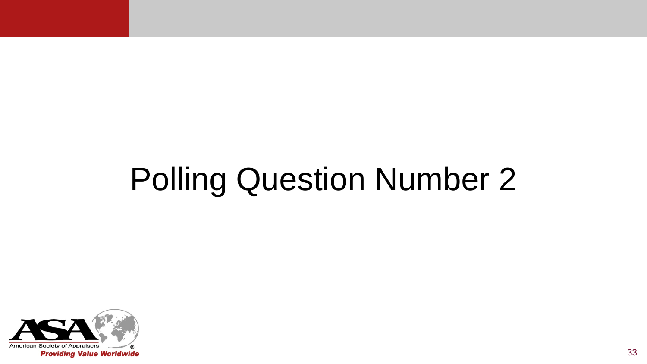# Polling Question Number 2

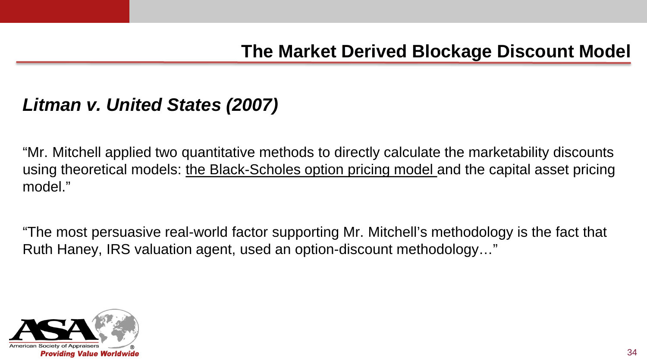### *Litman v. United States (2007)*

"Mr. Mitchell applied two quantitative methods to directly calculate the marketability discounts using theoretical models: the Black-Scholes option pricing model and the capital asset pricing model."

"The most persuasive real-world factor supporting Mr. Mitchell's methodology is the fact that Ruth Haney, IRS valuation agent, used an option-discount methodology…"

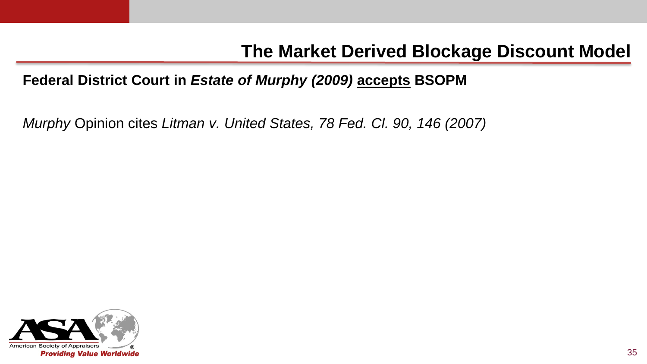#### **Federal District Court in** *Estate of Murphy (2009)* **accepts BSOPM**

*Murphy* Opinion cites *Litman v. United States, 78 Fed. Cl. 90, 146 (2007)*

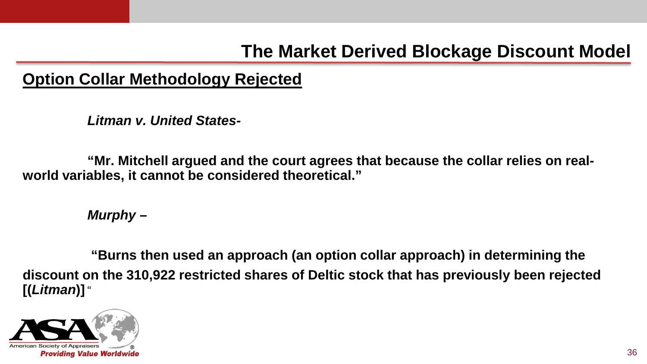#### **Option Collar Methodology Rejected**

*Litman v. United States-*

**"Mr. Mitchell argued and the court agrees that because the collar relies on realworld variables, it cannot be considered theoretical."**

*Murphy* **–**

**"Burns then used an approach (an option collar approach) in determining the discount on the 310,922 restricted shares of Deltic stock that has previously been rejected [(***Litman***)]** "

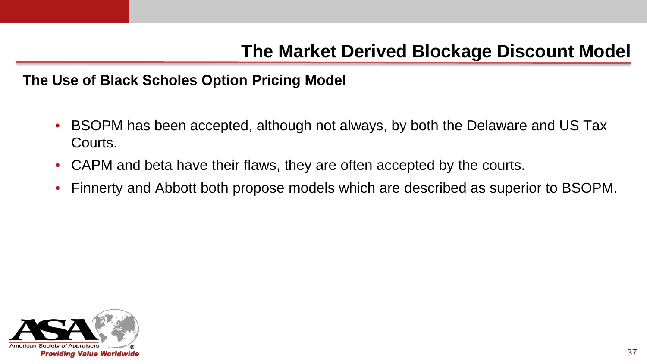**The Use of Black Scholes Option Pricing Model**

- BSOPM has been accepted, although not always, by both the Delaware and US Tax Courts.
- CAPM and beta have their flaws, they are often accepted by the courts.
- Finnerty and Abbott both propose models which are described as superior to BSOPM.

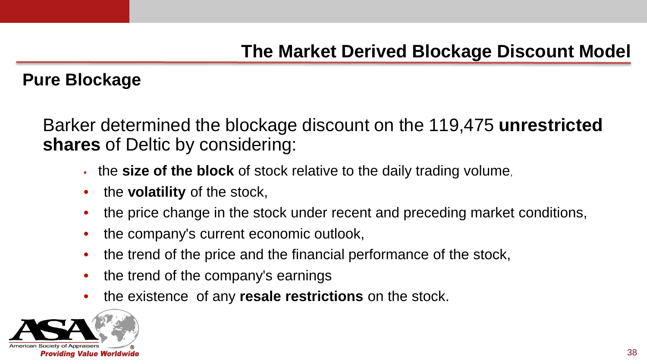#### **Pure Blockage**

Barker determined the blockage discount on the 119,475 **unrestricted shares** of Deltic by considering:

- the **size of the block** of stock relative to the daily trading volume,
- the **volatility** of the stock,
- the price change in the stock under recent and preceding market conditions,
- the company's current economic outlook,
- the trend of the price and the financial performance of the stock,
- the trend of the company's earnings
- the existence of any **resale restrictions** on the stock.

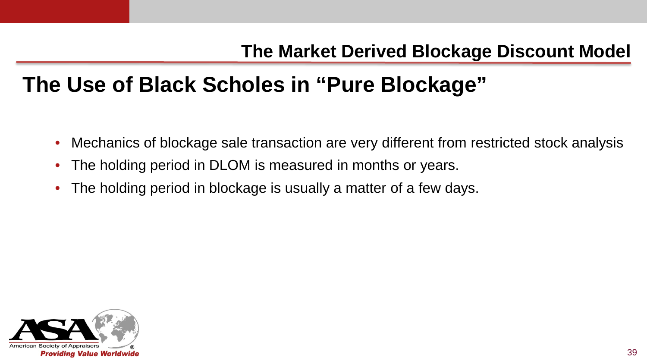# **The Use of Black Scholes in "Pure Blockage"**

- Mechanics of blockage sale transaction are very different from restricted stock analysis
- The holding period in DLOM is measured in months or years.
- The holding period in blockage is usually a matter of a few days.

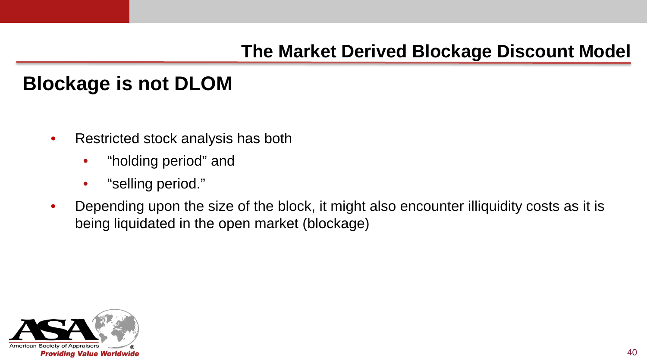#### **Blockage is not DLOM**

- Restricted stock analysis has both
	- "holding period" and
	- "selling period."
- Depending upon the size of the block, it might also encounter illiquidity costs as it is being liquidated in the open market (blockage)

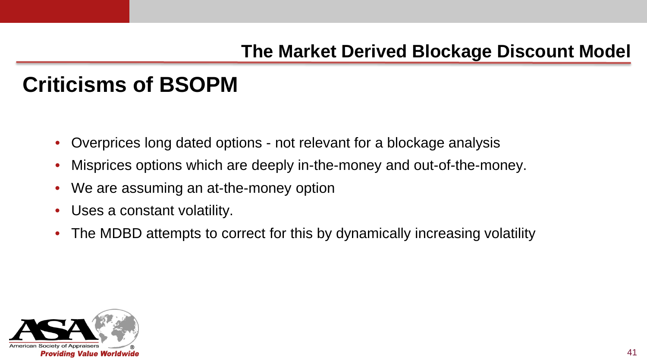# **Criticisms of BSOPM**

- Overprices long dated options not relevant for a blockage analysis
- Misprices options which are deeply in-the-money and out-of-the-money.
- We are assuming an at-the-money option
- Uses a constant volatility.
- The MDBD attempts to correct for this by dynamically increasing volatility

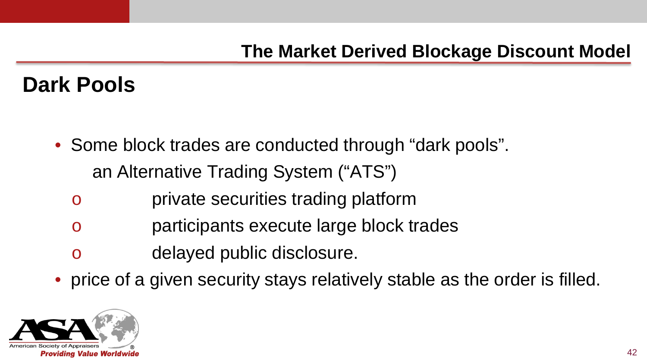- Some block trades are conducted through "dark pools". an Alternative Trading System ("ATS")
	- o private securities trading platform
	- o participants execute large block trades
	- o delayed public disclosure.
- price of a given security stays relatively stable as the order is filled.

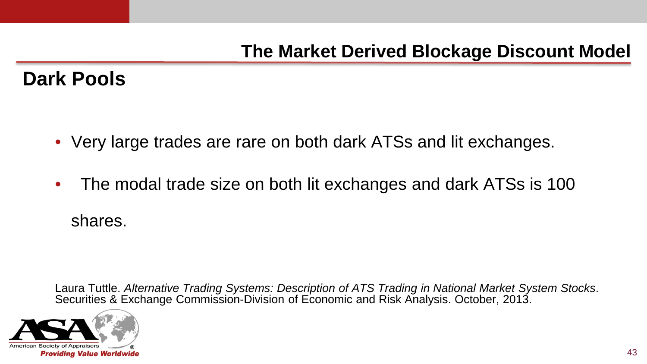- Very large trades are rare on both dark ATSs and lit exchanges.
- The modal trade size on both lit exchanges and dark ATSs is 100 shares.

Laura Tuttle. *Alternative Trading Systems: Description of ATS Trading in National Market System Stocks.*<br>Securities & Exchange Commission-Division of Economic and Risk Analysis. October, 2013.

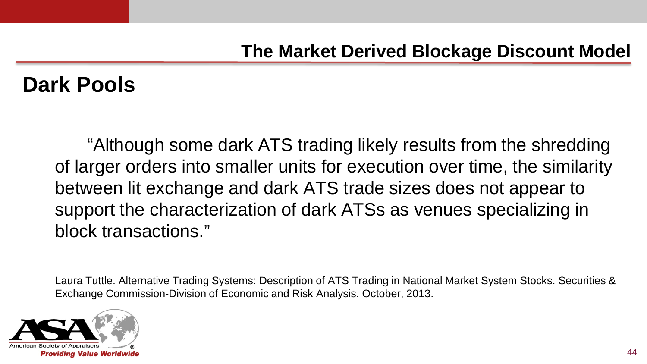"Although some dark ATS trading likely results from the shredding of larger orders into smaller units for execution over time, the similarity between lit exchange and dark ATS trade sizes does not appear to support the characterization of dark ATSs as venues specializing in block transactions."

Laura Tuttle. Alternative Trading Systems: Description of ATS Trading in National Market System Stocks. Securities & Exchange Commission-Division of Economic and Risk Analysis. October, 2013.

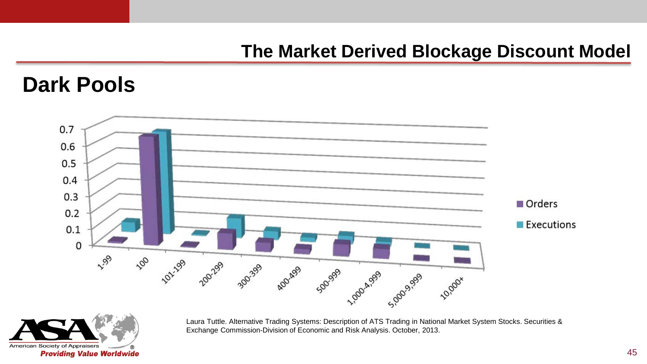#### **Dark Pools**





Laura Tuttle. Alternative Trading Systems: Description of ATS Trading in National Market System Stocks. Securities & Exchange Commission-Division of Economic and Risk Analysis. October, 2013.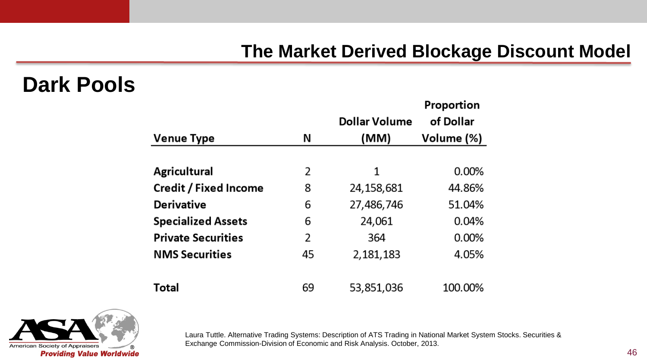#### **Dark Pools**

|                              |    |                      | Proportion |  |
|------------------------------|----|----------------------|------------|--|
|                              |    | <b>Dollar Volume</b> | of Dollar  |  |
| <b>Venue Type</b>            | N  | (MM)                 | Volume (%) |  |
|                              |    |                      |            |  |
| <b>Agricultural</b>          | 2  | 1                    | $0.00\%$   |  |
| <b>Credit / Fixed Income</b> | 8  | 24,158,681           | 44.86%     |  |
| <b>Derivative</b>            | 6  | 27,486,746           | 51.04%     |  |
| <b>Specialized Assets</b>    | 6  | 24,061               | 0.04%      |  |
| <b>Private Securities</b>    | 2  | 364                  | 0.00%      |  |
| <b>NMS Securities</b>        | 45 | 2,181,183            | 4.05%      |  |
|                              |    |                      |            |  |
| <b>Total</b>                 | 69 | 53,851,036           | 100.00%    |  |



Laura Tuttle. Alternative Trading Systems: Description of ATS Trading in National Market System Stocks. Securities & Exchange Commission-Division of Economic and Risk Analysis. October, 2013.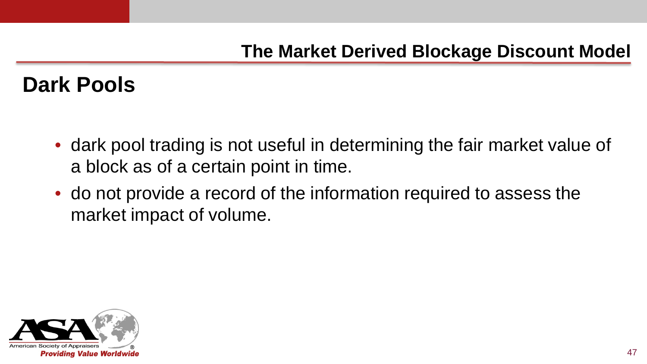- dark pool trading is not useful in determining the fair market value of a block as of a certain point in time.
- do not provide a record of the information required to assess the market impact of volume.

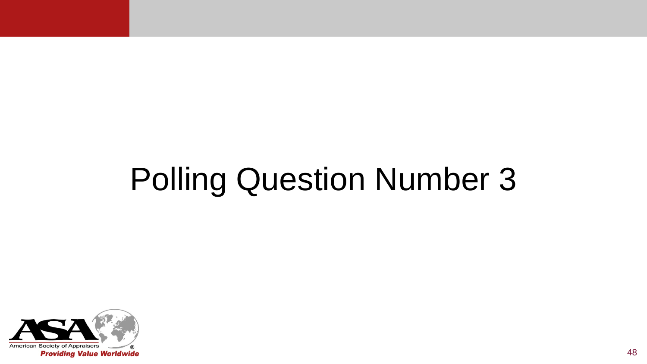# Polling Question Number 3

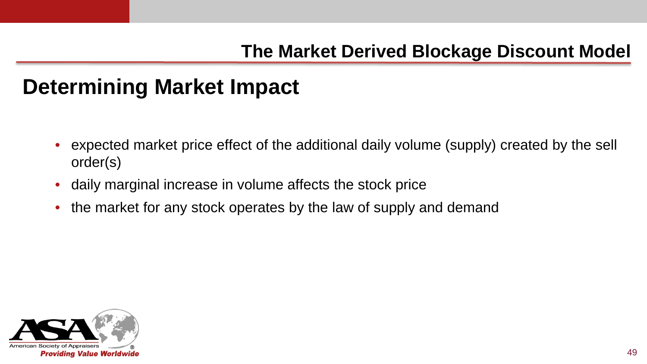- expected market price effect of the additional daily volume (supply) created by the sell order(s)
- daily marginal increase in volume affects the stock price
- the market for any stock operates by the law of supply and demand

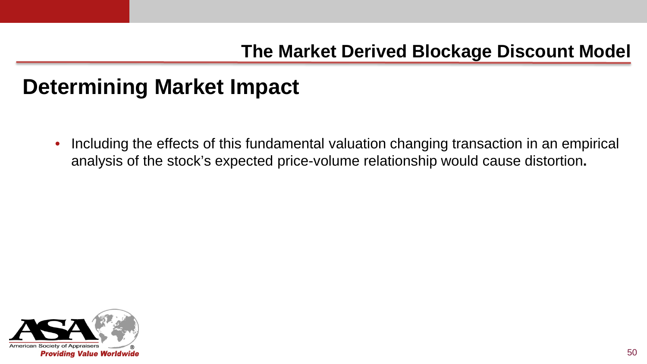• Including the effects of this fundamental valuation changing transaction in an empirical analysis of the stock's expected price-volume relationship would cause distortion**.**

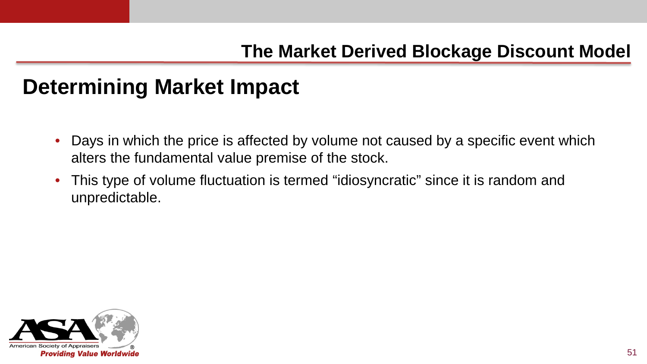- Days in which the price is affected by volume not caused by a specific event which alters the fundamental value premise of the stock.
- This type of volume fluctuation is termed "idiosyncratic" since it is random and unpredictable.

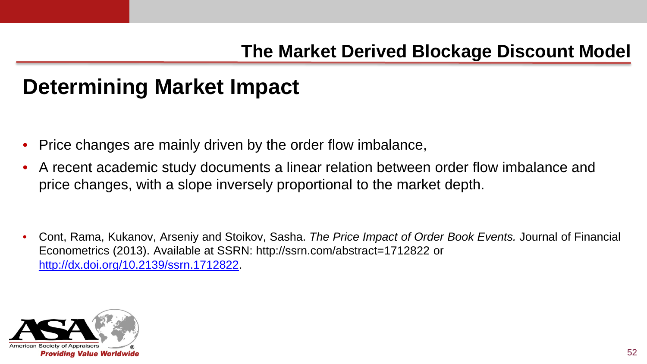- Price changes are mainly driven by the order flow imbalance,
- A recent academic study documents a linear relation between order flow imbalance and price changes, with a slope inversely proportional to the market depth.

• Cont, Rama, Kukanov, Arseniy and Stoikov, Sasha. *The Price Impact of Order Book Events.* Journal of Financial Econometrics (2013). Available at SSRN: http://ssrn.com/abstract=1712822 or [http://dx.doi.org/10.2139/ssrn.1712822.](http://dx.doi.org/10.2139/ssrn.1712822)

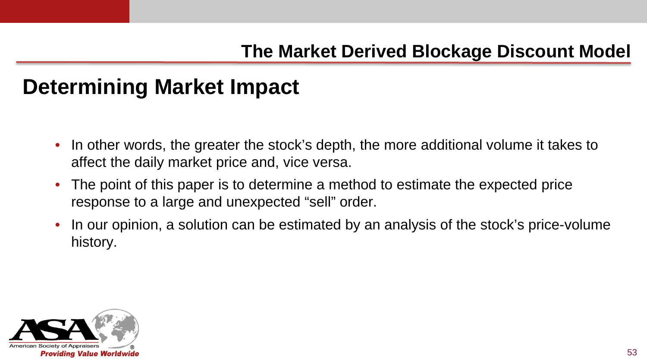- In other words, the greater the stock's depth, the more additional volume it takes to affect the daily market price and, vice versa.
- The point of this paper is to determine a method to estimate the expected price response to a large and unexpected "sell" order.
- In our opinion, a solution can be estimated by an analysis of the stock's price-volume history.

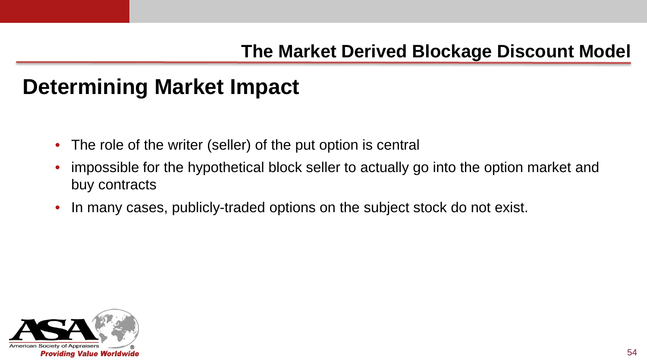- The role of the writer (seller) of the put option is central
- impossible for the hypothetical block seller to actually go into the option market and buy contracts
- In many cases, publicly-traded options on the subject stock do not exist.

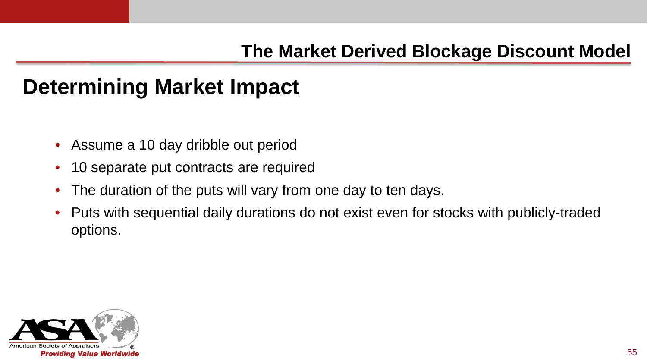- Assume a 10 day dribble out period
- 10 separate put contracts are required
- The duration of the puts will vary from one day to ten days.
- Puts with sequential daily durations do not exist even for stocks with publicly-traded options.

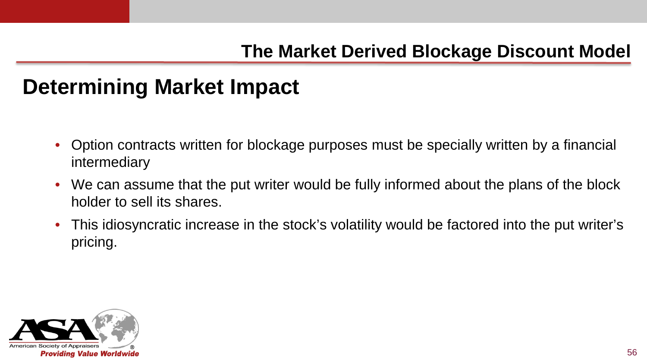- Option contracts written for blockage purposes must be specially written by a financial intermediary
- We can assume that the put writer would be fully informed about the plans of the block holder to sell its shares.
- This idiosyncratic increase in the stock's volatility would be factored into the put writer's pricing.

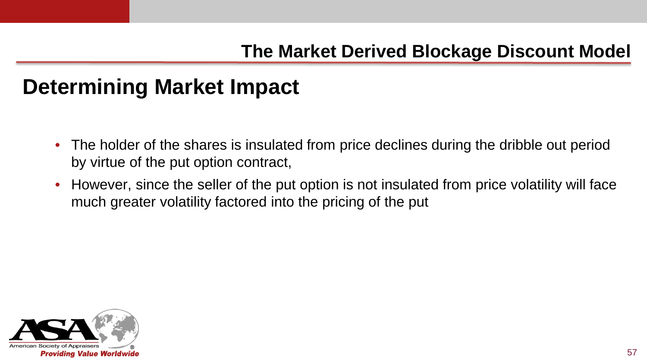- The holder of the shares is insulated from price declines during the dribble out period by virtue of the put option contract,
- However, since the seller of the put option is not insulated from price volatility will face much greater volatility factored into the pricing of the put

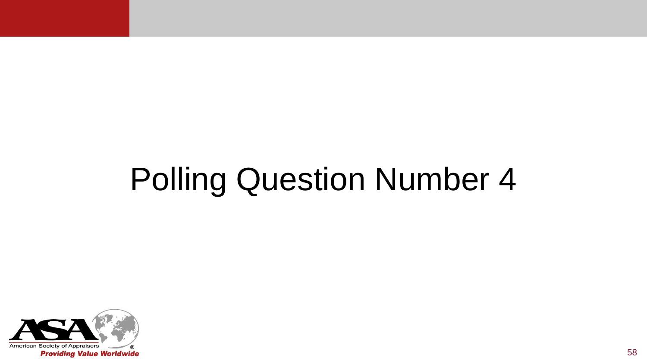# Polling Question Number 4

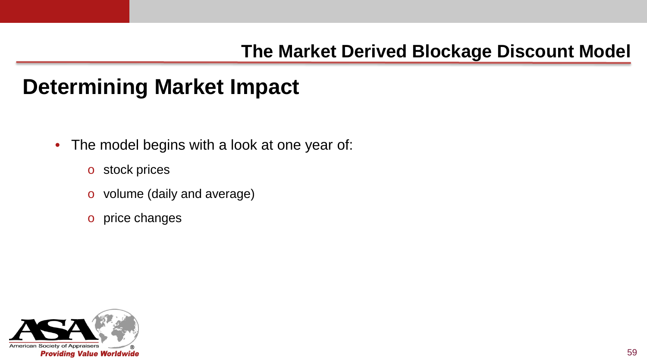- The model begins with a look at one year of:
	- o stock prices
	- o volume (daily and average)
	- o price changes

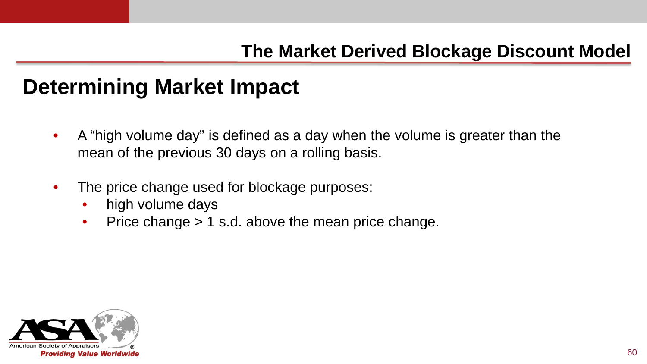- A "high volume day" is defined as a day when the volume is greater than the mean of the previous 30 days on a rolling basis.
- The price change used for blockage purposes:
	- high volume days
	- Price change > 1 s.d. above the mean price change.

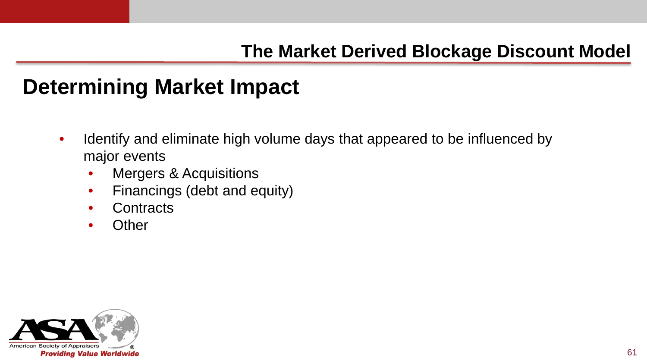- Identify and eliminate high volume days that appeared to be influenced by major events
	- Mergers & Acquisitions
	- Financings (debt and equity)
	- **Contracts**
	- **Other**

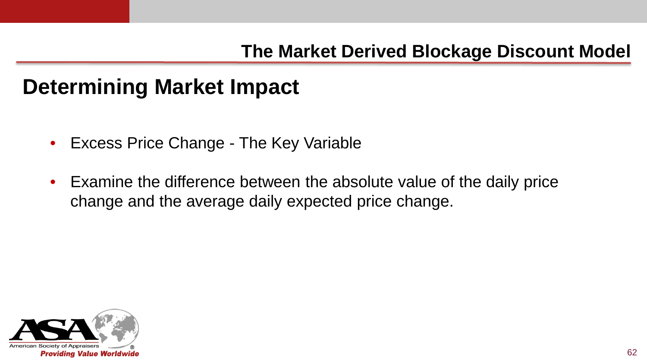- Excess Price Change The Key Variable
- Examine the difference between the absolute value of the daily price change and the average daily expected price change.

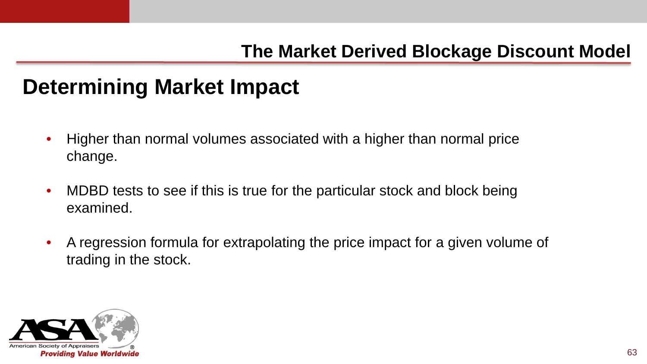- Higher than normal volumes associated with a higher than normal price change.
- MDBD tests to see if this is true for the particular stock and block being examined.
- A regression formula for extrapolating the price impact for a given volume of trading in the stock.

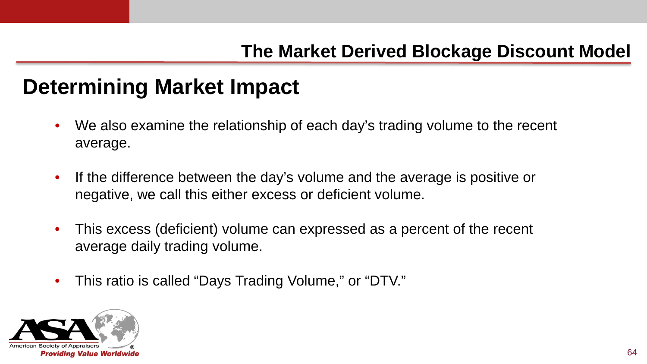- We also examine the relationship of each day's trading volume to the recent average.
- If the difference between the day's volume and the average is positive or negative, we call this either excess or deficient volume.
- This excess (deficient) volume can expressed as a percent of the recent average daily trading volume.
- This ratio is called "Days Trading Volume," or "DTV."

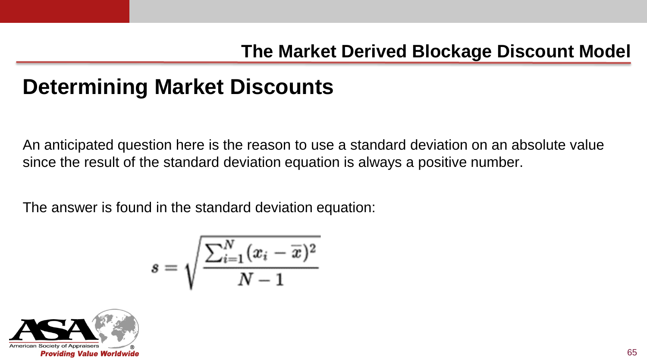An anticipated question here is the reason to use a standard deviation on an absolute value since the result of the standard deviation equation is always a positive number.

The answer is found in the standard deviation equation:

$$
s = \sqrt{\frac{\sum_{i=1}^N(x_i-\overline{x})^2}{N-1}}
$$

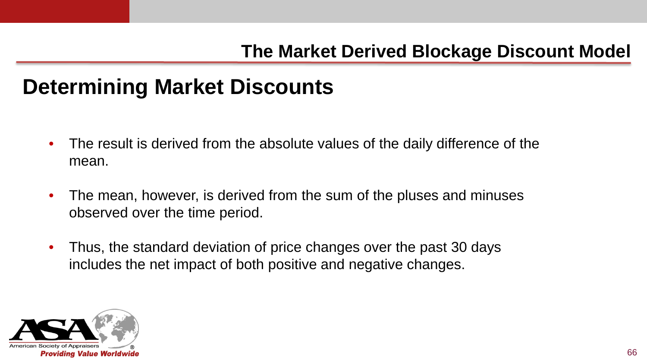- The result is derived from the absolute values of the daily difference of the mean.
- The mean, however, is derived from the sum of the pluses and minuses observed over the time period.
- Thus, the standard deviation of price changes over the past 30 days includes the net impact of both positive and negative changes.

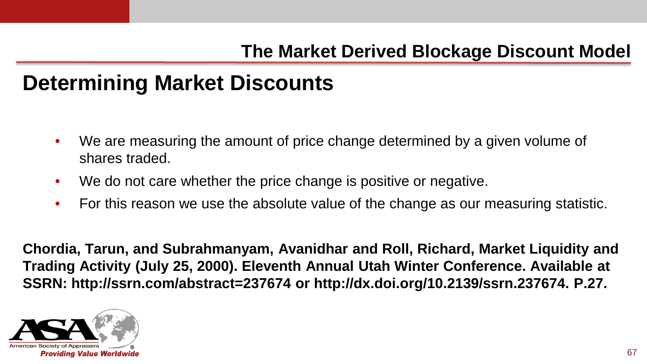- We are measuring the amount of price change determined by a given volume of shares traded.
- We do not care whether the price change is positive or negative.
- For this reason we use the absolute value of the change as our measuring statistic.

**Chordia, Tarun, and Subrahmanyam, Avanidhar and Roll, Richard, Market Liquidity and Trading Activity (July 25, 2000). Eleventh Annual Utah Winter Conference. Available at SSRN: http://ssrn.com/abstract=237674 or http://dx.doi.org/10.2139/ssrn.237674. P.27.**

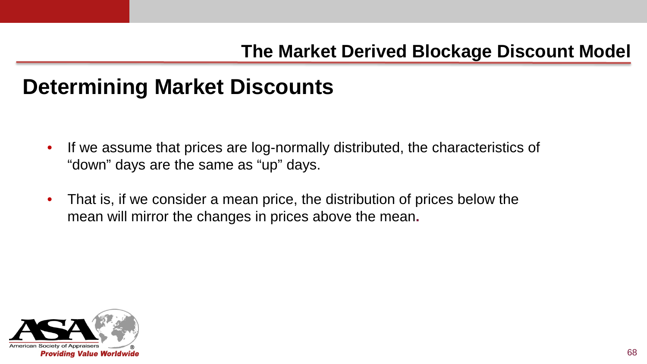- If we assume that prices are log-normally distributed, the characteristics of "down" days are the same as "up" days.
- That is, if we consider a mean price, the distribution of prices below the mean will mirror the changes in prices above the mean**.**

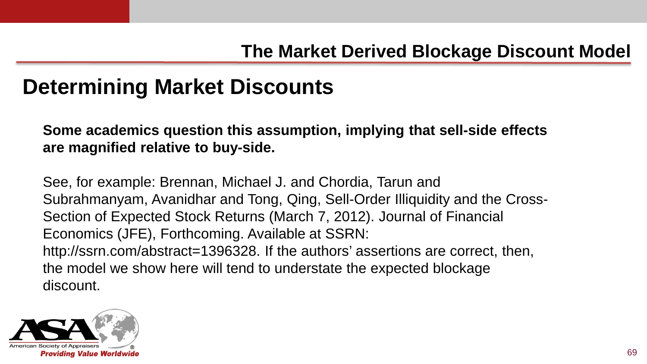**Some academics question this assumption, implying that sell-side effects are magnified relative to buy-side.** 

See, for example: Brennan, Michael J. and Chordia, Tarun and Subrahmanyam, Avanidhar and Tong, Qing, Sell-Order Illiquidity and the Cross-Section of Expected Stock Returns (March 7, 2012). Journal of Financial Economics (JFE), Forthcoming. Available at SSRN: http://ssrn.com/abstract=1396328. If the authors' assertions are correct, then, the model we show here will tend to understate the expected blockage discount.

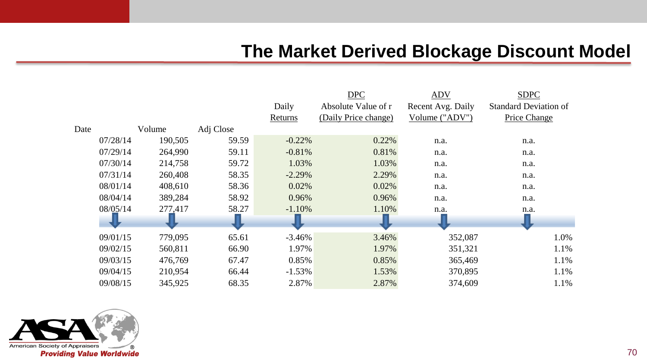|      |          |         |           |           | <b>DPC</b>           | <b>ADV</b>        | <b>SDPC</b>                  |
|------|----------|---------|-----------|-----------|----------------------|-------------------|------------------------------|
|      |          |         |           | Daily     | Absolute Value of r  | Recent Avg. Daily | <b>Standard Deviation of</b> |
|      |          |         |           | Returns   | (Daily Price change) | Volume ("ADV")    | Price Change                 |
| Date |          | Volume  | Adj Close |           |                      |                   |                              |
|      | 07/28/14 | 190,505 | 59.59     | $-0.22%$  | 0.22%                | n.a.              | n.a.                         |
|      | 07/29/14 | 264,990 | 59.11     | $-0.81%$  | 0.81%                | n.a.              | n.a.                         |
|      | 07/30/14 | 214,758 | 59.72     | 1.03%     | 1.03%                | n.a.              | n.a.                         |
|      | 07/31/14 | 260,408 | 58.35     | $-2.29\%$ | 2.29%                | n.a.              | n.a.                         |
|      | 08/01/14 | 408.610 | 58.36     | 0.02%     | 0.02%                | n.a.              | n.a.                         |
|      | 08/04/14 | 389,284 | 58.92     | 0.96%     | 0.96%                | n.a.              | n.a.                         |
|      | 08/05/14 | 277,417 | 58.27     | $-1.10%$  | 1.10%                | n.a.              | n.a.                         |
|      |          |         | < ∪       |           |                      |                   |                              |
|      | 09/01/15 | 779,095 | 65.61     | $-3.46%$  | 3.46%                | 352,087           | 1.0%                         |
|      | 09/02/15 | 560,811 | 66.90     | 1.97%     | 1.97%                | 351,321           | 1.1%                         |
|      | 09/03/15 | 476,769 | 67.47     | 0.85%     | 0.85%                | 365,469           | 1.1%                         |
|      | 09/04/15 | 210,954 | 66.44     | $-1.53%$  | 1.53%                | 370,895           | 1.1%                         |
|      | 09/08/15 | 345,925 | 68.35     | 2.87%     | 2.87%                | 374,609           | 1.1%                         |

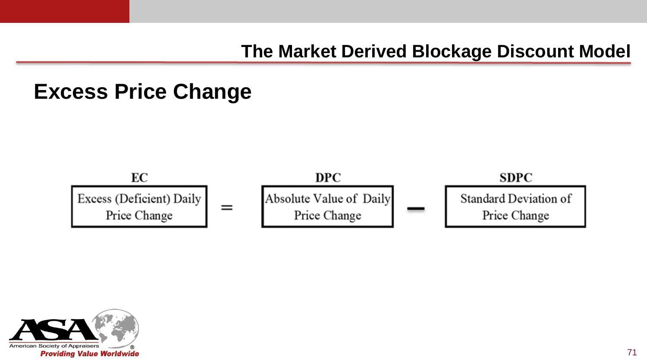### **Excess Price Change**



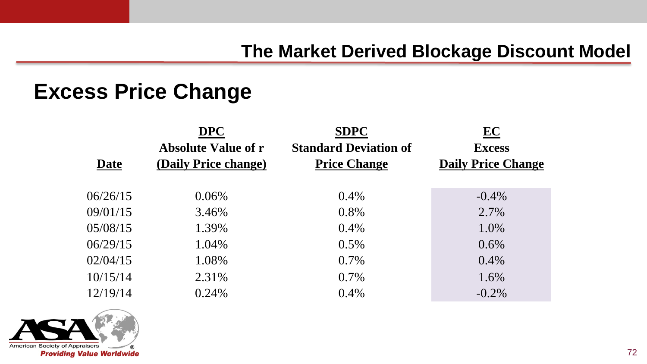#### **Excess Price Change**

|          | <b>DPC</b>                 | <b>SDPC</b>                  | EC                        |
|----------|----------------------------|------------------------------|---------------------------|
|          | <b>Absolute Value of r</b> | <b>Standard Deviation of</b> | <b>Excess</b>             |
| Date     | (Daily Price change)       | <b>Price Change</b>          | <b>Daily Price Change</b> |
|          |                            |                              |                           |
| 06/26/15 | 0.06%                      | 0.4%                         | $-0.4\%$                  |
| 09/01/15 | 3.46%                      | 0.8%                         | 2.7%                      |
| 05/08/15 | 1.39%                      | 0.4%                         | 1.0%                      |
| 06/29/15 | 1.04%                      | 0.5%                         | 0.6%                      |
| 02/04/15 | 1.08%                      | 0.7%                         | 0.4%                      |
| 10/15/14 | 2.31%                      | 0.7%                         | 1.6%                      |
| 12/19/14 | 0.24%                      | 0.4%                         | $-0.2\%$                  |

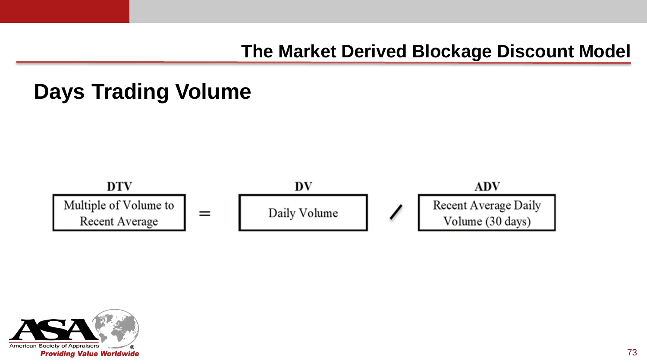### **Days Trading Volume**



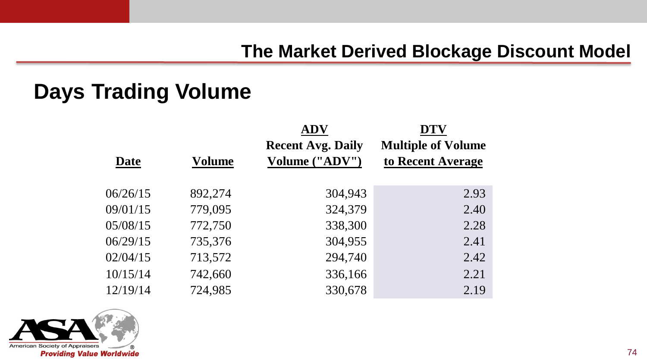### **Days Trading Volume**

|          |               | <b>ADV</b>               | <b>DTV</b>                |
|----------|---------------|--------------------------|---------------------------|
|          |               | <b>Recent Avg. Daily</b> | <b>Multiple of Volume</b> |
| Date     | <b>Volume</b> | Volume ("ADV")           | to Recent Average         |
|          |               |                          |                           |
| 06/26/15 | 892,274       | 304,943                  | 2.93                      |
| 09/01/15 | 779,095       | 324,379                  | 2.40                      |
| 05/08/15 | 772,750       | 338,300                  | 2.28                      |
| 06/29/15 | 735,376       | 304,955                  | 2.41                      |
| 02/04/15 | 713,572       | 294,740                  | 2.42                      |
| 10/15/14 | 742,660       | 336,166                  | 2.21                      |
| 12/19/14 | 724,985       | 330,678                  | 2.19                      |

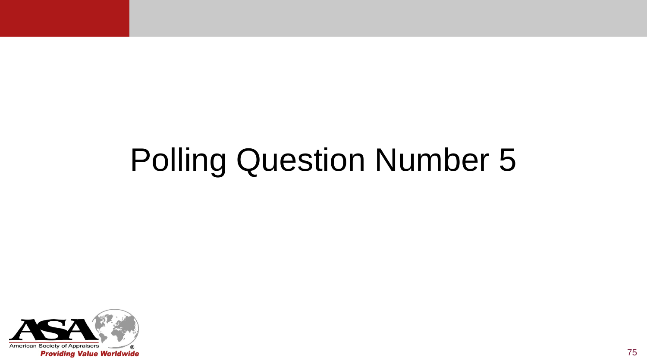# Polling Question Number 5

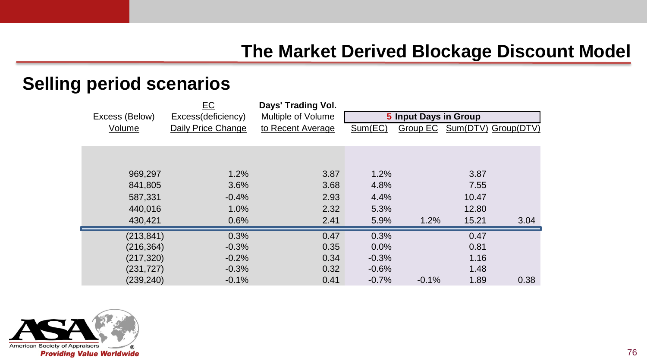#### **Selling period scenarios**

|                | EC                 | Days' Trading Vol. |                       |         |       |                              |
|----------------|--------------------|--------------------|-----------------------|---------|-------|------------------------------|
| Excess (Below) | Excess(deficiency) | Multiple of Volume | 5 Input Days in Group |         |       |                              |
| Volume         | Daily Price Change | to Recent Average  | Sum(EC)               |         |       | Group EC Sum(DTV) Group(DTV) |
|                |                    |                    |                       |         |       |                              |
|                |                    |                    |                       |         |       |                              |
|                |                    |                    |                       |         |       |                              |
| 969,297        | 1.2%               | 3.87               | 1.2%                  |         | 3.87  |                              |
| 841,805        | 3.6%               | 3.68               | 4.8%                  |         | 7.55  |                              |
| 587,331        | $-0.4%$            | 2.93               | 4.4%                  |         | 10.47 |                              |
| 440,016        | 1.0%               | 2.32               | 5.3%                  |         | 12.80 |                              |
| 430.421        | 0.6%               | 2.41               | 5.9%                  | 1.2%    | 15.21 | 3.04                         |
|                |                    |                    |                       |         |       |                              |
| (213, 841)     | 0.3%               | 0.47               | 0.3%                  |         | 0.47  |                              |
| (216, 364)     | $-0.3%$            | 0.35               | 0.0%                  |         | 0.81  |                              |
| (217, 320)     | $-0.2%$            | 0.34               | $-0.3%$               |         | 1.16  |                              |
| (231,727)      | $-0.3%$            | 0.32               | $-0.6%$               |         | 1.48  |                              |
| (239, 240)     | $-0.1%$            | 0.41               | $-0.7%$               | $-0.1%$ | 1.89  | 0.38                         |

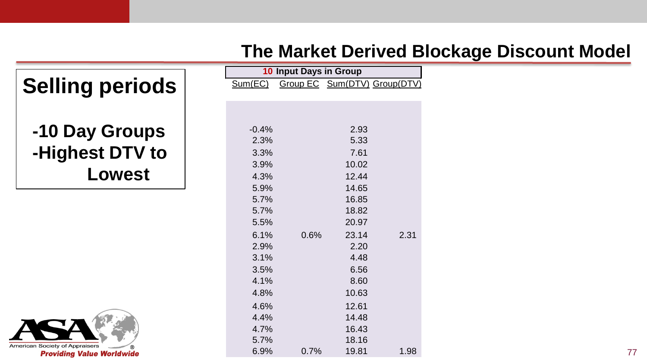| <b>Selling periods</b> |
|------------------------|
| -10 Day Groups         |
| -Highest DTV to        |
| Lowest                 |

| American Society of Appraisers<br>ര |
|-------------------------------------|
| <b>Providing Value Worldwide</b>    |

| 10 Input Days in Group |      |                             |      |  |  |  |  |  |  |  |
|------------------------|------|-----------------------------|------|--|--|--|--|--|--|--|
| <u>Sum(EC)</u>         |      | Group EC Sum(DTV) Group(DTV |      |  |  |  |  |  |  |  |
|                        |      |                             |      |  |  |  |  |  |  |  |
|                        |      |                             |      |  |  |  |  |  |  |  |
|                        |      |                             |      |  |  |  |  |  |  |  |
| $-0.4%$                |      | 2.93                        |      |  |  |  |  |  |  |  |
| 2.3%                   |      | 5.33                        |      |  |  |  |  |  |  |  |
| 3.3%                   |      | 7.61                        |      |  |  |  |  |  |  |  |
| 3.9%                   |      | 10.02                       |      |  |  |  |  |  |  |  |
| 4.3%                   |      | 12.44                       |      |  |  |  |  |  |  |  |
| 5.9%                   |      | 14.65                       |      |  |  |  |  |  |  |  |
| 5.7%                   |      | 16.85                       |      |  |  |  |  |  |  |  |
| 5.7%                   |      | 18.82                       |      |  |  |  |  |  |  |  |
| 5.5%                   |      | 20.97                       |      |  |  |  |  |  |  |  |
| 6.1%                   | 0.6% | 23.14                       | 2.31 |  |  |  |  |  |  |  |
| 2.9%                   |      | 2.20                        |      |  |  |  |  |  |  |  |
| 3.1%                   |      | 4.48                        |      |  |  |  |  |  |  |  |
| 3.5%                   |      | 6.56                        |      |  |  |  |  |  |  |  |
| 4.1%                   |      | 8.60                        |      |  |  |  |  |  |  |  |
| 4.8%                   |      | 10.63                       |      |  |  |  |  |  |  |  |
| 4.6%                   |      | 12.61                       |      |  |  |  |  |  |  |  |
| 4.4%                   |      | 14.48                       |      |  |  |  |  |  |  |  |
| 4.7%                   |      | 16.43                       |      |  |  |  |  |  |  |  |
| 5.7%                   |      | 18.16                       |      |  |  |  |  |  |  |  |
| $6.9\%$                | 0.7% | 19.81                       | 1.98 |  |  |  |  |  |  |  |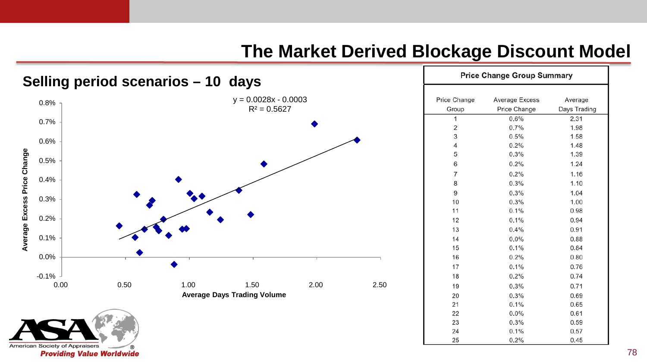

| <b>Price Change Group Summary</b> |                |              |  |  |  |  |  |  |
|-----------------------------------|----------------|--------------|--|--|--|--|--|--|
|                                   |                |              |  |  |  |  |  |  |
| Price Change                      | Average Excess | Average      |  |  |  |  |  |  |
| Group                             | Price Change   | Days Trading |  |  |  |  |  |  |
| 1                                 | 0.6%           | 2.31         |  |  |  |  |  |  |
| $\overline{2}$                    | 0.7%           | 1.98         |  |  |  |  |  |  |
| 3                                 | 0.5%           | 1.58         |  |  |  |  |  |  |
| $\overline{4}$                    | 0.2%           | 1.48         |  |  |  |  |  |  |
| 5                                 | 0.3%           | 1.39         |  |  |  |  |  |  |
| 6                                 | 0.2%           | 1.24         |  |  |  |  |  |  |
| $\overline{7}$                    | 0.2%           | 1.16         |  |  |  |  |  |  |
| 8                                 | 0.3%           | 1.10         |  |  |  |  |  |  |
| 9                                 | 0.3%           | 1.04         |  |  |  |  |  |  |
| 10                                | 0.3%           | 1.00         |  |  |  |  |  |  |
| 11                                | 0.1%           | 0.98         |  |  |  |  |  |  |
| 12                                | 0.1%           | 0.94         |  |  |  |  |  |  |
| 13                                | 0.4%           | 0.91         |  |  |  |  |  |  |
| 14                                | 0.0%           | 0.88         |  |  |  |  |  |  |
| 15                                | 0.1%           | 0.84         |  |  |  |  |  |  |
| 16                                | 0.2%           | 0.80         |  |  |  |  |  |  |
| 17                                | 0.1%           | 0.76         |  |  |  |  |  |  |
| 18                                | 0.2%           | 0.74         |  |  |  |  |  |  |
| 19                                | 0.3%           | 0.71         |  |  |  |  |  |  |
| 20                                | 0.3%           | 0.69         |  |  |  |  |  |  |
| 21                                | 0.1%           | 0.65         |  |  |  |  |  |  |
| 22                                | 0.0%           | 0.61         |  |  |  |  |  |  |
| 23                                | 0.3%           | 0.59         |  |  |  |  |  |  |
| 24                                | 0.1%           | 0.57         |  |  |  |  |  |  |
| 25                                | 0.2%           | 0.45         |  |  |  |  |  |  |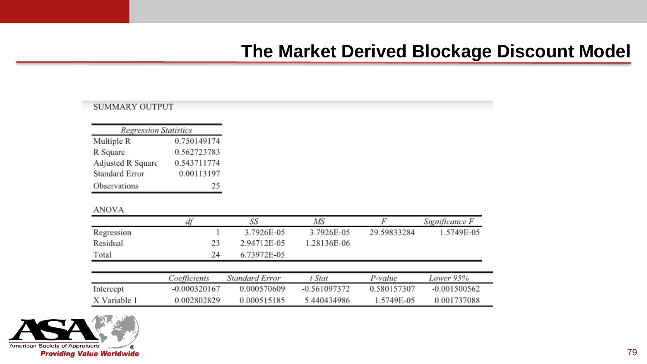#### **SUMMARY OUTPUT**

| <b>Regression Statistics</b> |             |  |  |  |  |  |  |  |
|------------------------------|-------------|--|--|--|--|--|--|--|
| Multiple R                   | 0.750149174 |  |  |  |  |  |  |  |
| R Square                     | 0.562723783 |  |  |  |  |  |  |  |
| Adjusted R Square            | 0.543711774 |  |  |  |  |  |  |  |
| Standard Error               | 0.00113197  |  |  |  |  |  |  |  |
| Observations                 | 25          |  |  |  |  |  |  |  |

#### **ANOVA**

|              | ďf             | SS             | МS           |             | Significance F |  |  |
|--------------|----------------|----------------|--------------|-------------|----------------|--|--|
| Regression   |                | 3.7926E-05     | 3.7926E-05   | 29.59833284 | 1.5749E-05     |  |  |
| Residual     | 23             | 2.94712E-05    | 1.28136E-06  |             |                |  |  |
| Total        | 24             | 6.73972E-05    |              |             |                |  |  |
|              |                |                |              |             |                |  |  |
|              | Coefficients   | Standard Error | t Stat       | P-value     | Lower 95%      |  |  |
| Intercept    | $-0.000320167$ | 0.000570609    | -0.561097372 | 0.580157307 | $-0.001500562$ |  |  |
| X Variable 1 | 0.002802829    | 0.000515185    | 5.440434986  | 1.5749E-05  | 0.001737088    |  |  |

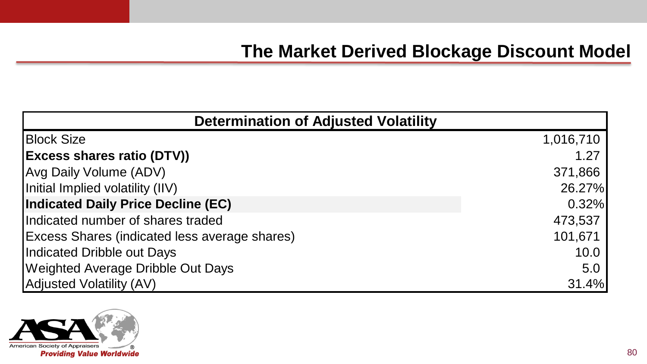| <b>Determination of Adjusted Volatility</b>          |           |  |  |  |  |  |
|------------------------------------------------------|-----------|--|--|--|--|--|
| <b>Block Size</b>                                    | 1,016,710 |  |  |  |  |  |
| <b>Excess shares ratio (DTV))</b>                    | 1.27      |  |  |  |  |  |
| Avg Daily Volume (ADV)                               | 371,866   |  |  |  |  |  |
| Initial Implied volatility (IIV)                     | 26.27%    |  |  |  |  |  |
| Indicated Daily Price Decline (EC)                   | 0.32%     |  |  |  |  |  |
| Indicated number of shares traded                    | 473,537   |  |  |  |  |  |
| <b>Excess Shares (indicated less average shares)</b> | 101,671   |  |  |  |  |  |
| Indicated Dribble out Days                           | 10.0      |  |  |  |  |  |
| <b>Weighted Average Dribble Out Days</b>             | 5.0       |  |  |  |  |  |
| <b>Adjusted Volatility (AV)</b>                      | 31.4%     |  |  |  |  |  |

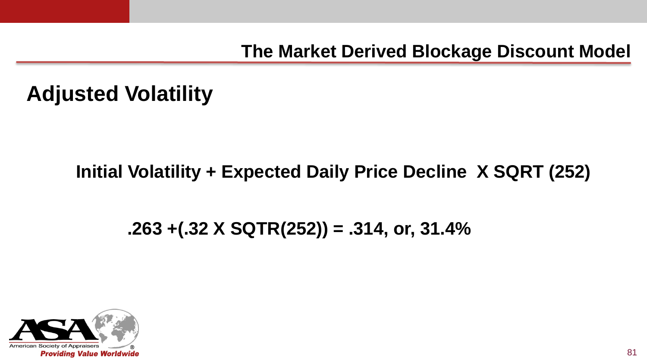#### **Adjusted Volatility**

#### **Initial Volatility + Expected Daily Price Decline X SQRT (252)**

#### **.263 +(.32 X SQTR(252)) = .314, or, 31.4%**

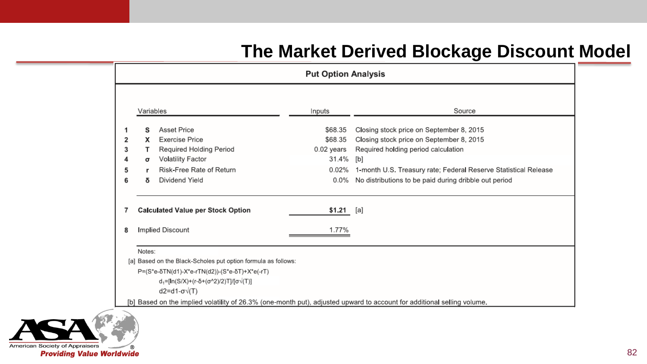|                       | <b>Put Option Analysis</b>        |                                                                                                                                                                                                               |                                                                 |                                                                                                                                                                                                                                                                |  |  |  |  |  |  |  |
|-----------------------|-----------------------------------|---------------------------------------------------------------------------------------------------------------------------------------------------------------------------------------------------------------|-----------------------------------------------------------------|----------------------------------------------------------------------------------------------------------------------------------------------------------------------------------------------------------------------------------------------------------------|--|--|--|--|--|--|--|
|                       | Variables                         |                                                                                                                                                                                                               | Inputs                                                          | Source                                                                                                                                                                                                                                                         |  |  |  |  |  |  |  |
| 2<br>3<br>4<br>5<br>6 | s<br>x<br>т<br>$\sigma$<br>r<br>δ | <b>Asset Price</b><br><b>Exercise Price</b><br><b>Required Holding Period</b><br><b>Volatility Factor</b><br>Risk-Free Rate of Return<br>Dividend Yield                                                       | \$68.35<br>\$68.35<br>$0.02$ years<br>31.4%<br>0.02%<br>$0.0\%$ | Closing stock price on September 8, 2015<br>Closing stock price on September 8, 2015<br>Required holding period calculation<br>[b]<br>1-month U.S. Treasury rate; Federal Reserve Statistical Release<br>No distributions to be paid during dribble out period |  |  |  |  |  |  |  |
| 7<br>8                |                                   | <b>Calculated Value per Stock Option</b><br>Implied Discount                                                                                                                                                  | $$1.21$ [a]<br>1.77%                                            |                                                                                                                                                                                                                                                                |  |  |  |  |  |  |  |
|                       | Notes:                            | [a] Based on the Black-Scholes put option formula as follows:<br>P=(S*e-δTN(d1)-X*e-rTN(d2))-(S*e-δT)+X*e(-rT)<br>$d_1 = [ln(S/X)+(r-\delta+(\sigma^2/2))T]/[\sigma\sqrt{T}]]$<br>$d2 = d1 - \sigma \sqrt{T}$ |                                                                 | [b] Based on the implied volatility of 26.3% (one-month put), adjusted upward to account for additional selling volume.                                                                                                                                        |  |  |  |  |  |  |  |

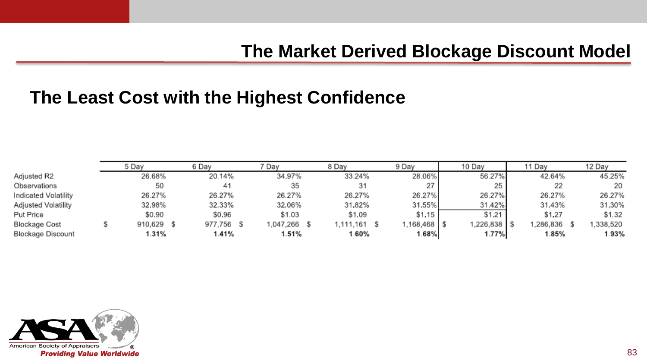#### **The Least Cost with the Highest Confidence**

|                      | 5 Day<br>6 Day |            | Dav<br>8 Day |  | 9 Day<br>10 Day |  |           | ı Dav       |  | 12 Day      |  |          |  |          |
|----------------------|----------------|------------|--------------|--|-----------------|--|-----------|-------------|--|-------------|--|----------|--|----------|
| Adjusted R2          |                | 26.68%     | 20.14%       |  | 34.97%          |  | 33.24%    | 28.06%      |  | 56.27%      |  | 42.64%   |  | 45.25%   |
| Observations         |                | 50         | 41           |  | 35              |  | 31        | 27          |  | 25          |  | 22       |  | 20       |
| Indicated Volatility |                | 26.27%     | 26.27%       |  | 26.27%          |  | 26.27%    | 26.27%      |  | 26.27%      |  | 26.27%   |  | 26.27%   |
| Adjusted Volatility  |                | 32.98%     | 32.33%       |  | 32.06%          |  | 31.82%    | 31.55%      |  | 31.42%      |  | 31.43%   |  | 31.30%   |
| Put Price            |                | \$0.90     | \$0.96       |  | \$1.03          |  | \$1.09    | \$1.15      |  | \$1.21      |  | \$1,27   |  | \$1,32   |
| Blockage Cost        |                | 910,629 \$ | 977,756 \$   |  | .047.266        |  | 1,111,161 | l.168.468 S |  | 1.226,838 S |  | .286.836 |  | .338,520 |
| Blockage Discount    |                | 1.31%      | l.41%        |  | 1.51%           |  | 1.60%     | 1.68%       |  | 1.77%       |  | 1.85%    |  | 1.93%    |

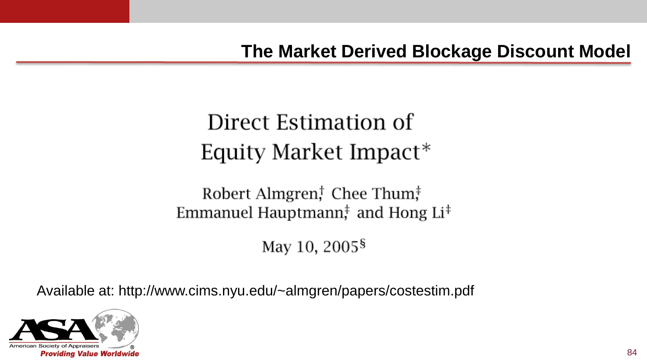## Direct Estimation of Equity Market Impact<sup>\*</sup>

Robert Almgren, Chee Thum, $\ddagger$ Emmanuel Hauptmann, and Hong Li<sup>‡</sup>

May 10, 2005<sup>§</sup>

Available at: http://www.cims.nyu.edu/~almgren/papers/costestim.pdf

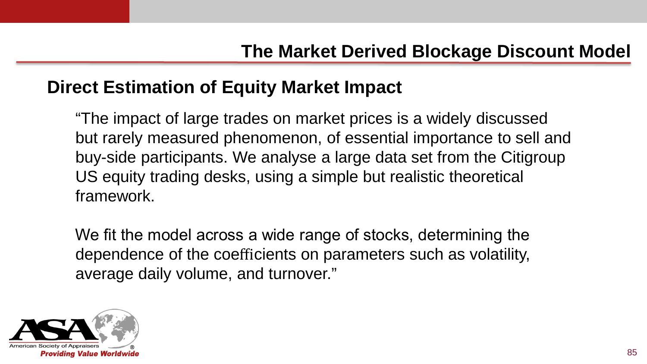#### **Direct Estimation of Equity Market Impact**

"The impact of large trades on market prices is a widely discussed but rarely measured phenomenon, of essential importance to sell and buy-side participants. We analyse a large data set from the Citigroup US equity trading desks, using a simple but realistic theoretical framework.

We fit the model across a wide range of stocks, determining the dependence of the coefficients on parameters such as volatility, average daily volume, and turnover."

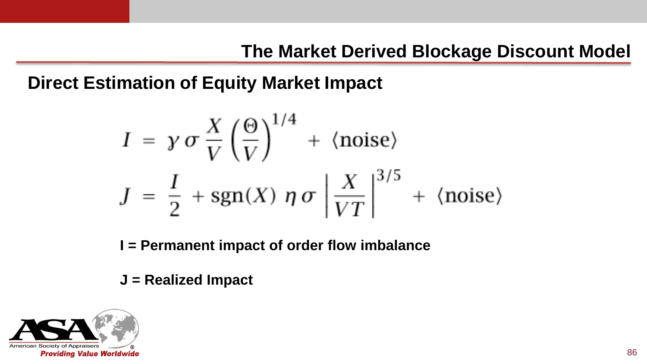**Direct Estimation of Equity Market Impact**

$$
I = \gamma \sigma \frac{X}{V} \left(\frac{\Theta}{V}\right)^{1/4} + \langle \text{noise} \rangle
$$
  

$$
J = \frac{I}{2} + \text{sgn}(X) \eta \sigma \left|\frac{X}{VT}\right|^{3/5} + \langle \text{noise} \rangle
$$

**I = Permanent impact of order flow imbalance**

**J = Realized Impact**

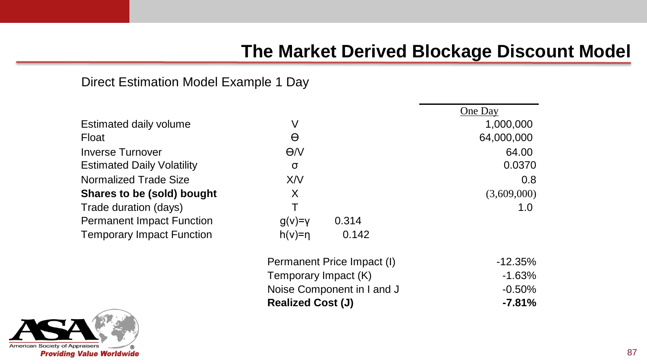One Day

#### Direct Estimation Model Example 1 Day

|                                   |             |       | One Day     |  |
|-----------------------------------|-------------|-------|-------------|--|
| Estimated daily volume            | V           |       | 1,000,000   |  |
| Float                             | θ           |       | 64,000,000  |  |
| <b>Inverse Turnover</b>           | $\Theta$ /V |       | 64.00       |  |
| <b>Estimated Daily Volatility</b> | σ           |       | 0.0370      |  |
| <b>Normalized Trade Size</b>      | X/V         |       | 0.8         |  |
| Shares to be (sold) bought        | X           |       | (3,609,000) |  |
| Trade duration (days)             |             |       | 1.0         |  |
| <b>Permanent Impact Function</b>  | $g(v)=v$    | 0.314 |             |  |
| <b>Temporary Impact Function</b>  | $h(v)=n$    | 0.142 |             |  |
|                                   |             |       |             |  |



| Normalized Trade Size            | X/V                                                |                            | 0.8         |
|----------------------------------|----------------------------------------------------|----------------------------|-------------|
| Shares to be (sold) bought       | X                                                  |                            | (3,609,000) |
| Trade duration (days)            |                                                    |                            | 1.0         |
| <b>Permanent Impact Function</b> | $g(v)=v$                                           | 0.314                      |             |
| <b>Temporary Impact Function</b> | $h(v)=n$                                           | 0.142                      |             |
|                                  |                                                    | Permanent Price Impact (I) | $-12.35%$   |
|                                  | Temporary Impact (K)<br>Noise Component in I and J |                            | $-1.63%$    |
|                                  |                                                    |                            | $-0.50%$    |
| <b>Realized Cost (J)</b>         |                                                    |                            | $-7.81%$    |
|                                  |                                                    |                            |             |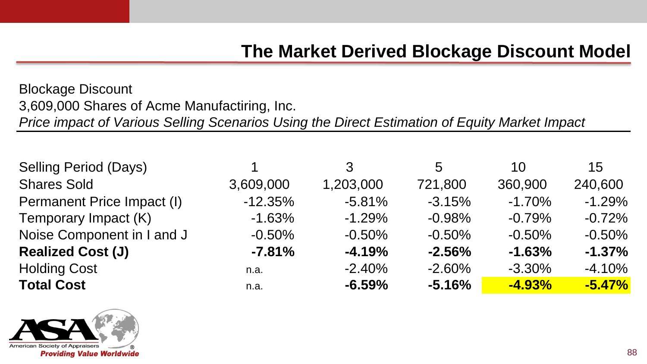Blockage Discount 3,609,000 Shares of Acme Manufactiring, Inc. *Price impact of Various Selling Scenarios Using the Direct Estimation of Equity Market Impact*

| <b>Selling Period (Days)</b> |           | 3         | 5        | 10       | 15       |
|------------------------------|-----------|-----------|----------|----------|----------|
| <b>Shares Sold</b>           | 3,609,000 | 1,203,000 | 721,800  | 360,900  | 240,600  |
| Permanent Price Impact (I)   | $-12.35%$ | $-5.81%$  | $-3.15%$ | $-1.70%$ | $-1.29%$ |
| Temporary Impact (K)         | $-1.63%$  | $-1.29%$  | $-0.98%$ | $-0.79%$ | $-0.72%$ |
| Noise Component in I and J   | $-0.50%$  | $-0.50%$  | $-0.50%$ | $-0.50%$ | $-0.50%$ |
| <b>Realized Cost (J)</b>     | $-7.81%$  | $-4.19%$  | $-2.56%$ | $-1.63%$ | $-1.37%$ |
| <b>Holding Cost</b>          | n.a.      | $-2.40%$  | $-2.60%$ | $-3.30%$ | $-4.10%$ |
| <b>Total Cost</b>            | n.a.      | $-6.59%$  | $-5.16%$ | $-4.93%$ | $-5.47%$ |

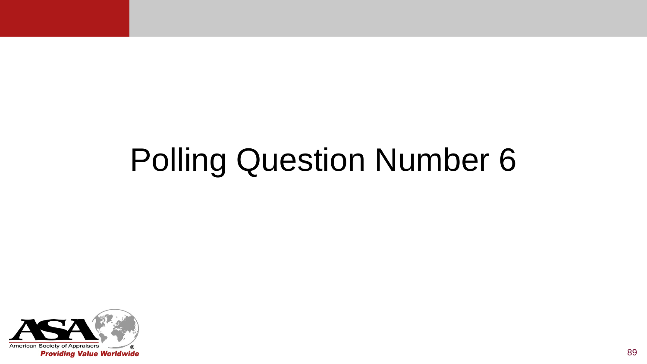# Polling Question Number 6